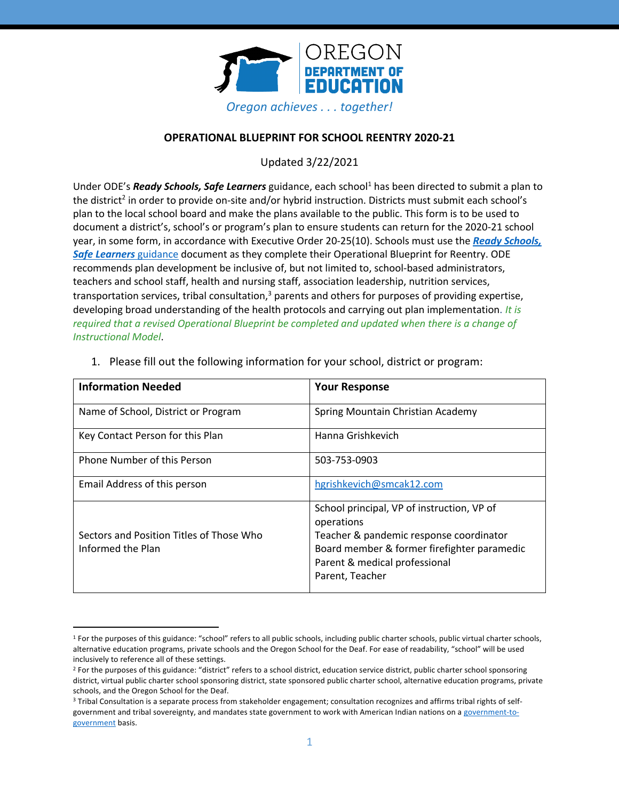

# **OPERATIONAL BLUEPRINT FOR SCHOOL REENTRY 2020-21**

Updated 3/22/2021

Under ODE's Ready Schools, Safe Learners guidance, each school<sup>1</sup> has been directed to submit a plan to the district<sup>2</sup> in order to provide on-site and/or hybrid instruction. Districts must submit each school's plan to the local school board and make the plans available to the public. This form is to be used to document a district's, school's or program's plan to ensure students can return for the 2020-21 school year, in some form, in accordance with Executive Order 20-25(10). Schools must use the *Ready Schools, Safe Learners* guidance document as they complete their Operational Blueprint for Reentry. ODE recommends plan development be inclusive of, but not limited to, school-based administrators, teachers and school staff, health and nursing staff, association leadership, nutrition services, transportation services, tribal consultation,<sup>3</sup> parents and others for purposes of providing expertise, developing broad understanding of the health protocols and carrying out plan implementation. *It is required that a revised Operational Blueprint be completed and updated when there is a change of Instructional Model*.

| <b>Information Needed</b>                                     | <b>Your Response</b>                                                                                                                                                                                   |
|---------------------------------------------------------------|--------------------------------------------------------------------------------------------------------------------------------------------------------------------------------------------------------|
| Name of School, District or Program                           | Spring Mountain Christian Academy                                                                                                                                                                      |
| Key Contact Person for this Plan                              | Hanna Grishkevich                                                                                                                                                                                      |
| <b>Phone Number of this Person</b>                            | 503-753-0903                                                                                                                                                                                           |
| Email Address of this person                                  | hgrishkevich@smcak12.com                                                                                                                                                                               |
| Sectors and Position Titles of Those Who<br>Informed the Plan | School principal, VP of instruction, VP of<br>operations<br>Teacher & pandemic response coordinator<br>Board member & former firefighter paramedic<br>Parent & medical professional<br>Parent, Teacher |

1. Please fill out the following information for your school, district or program:

<sup>1</sup> For the purposes of this guidance: "school" refers to all public schools, including public charter schools, public virtual charter schools, alternative education programs, private schools and the Oregon School for the Deaf. For ease of readability, "school" will be used inclusively to reference all of these settings.

<sup>&</sup>lt;sup>2</sup> For the purposes of this guidance: "district" refers to a school district, education service district, public charter school sponsoring district, virtual public charter school sponsoring district, state sponsored public charter school, alternative education programs, private schools, and the Oregon School for the Deaf.

<sup>3</sup> Tribal Consultation is a separate process from stakeholder engagement; consultation recognizes and affirms tribal rights of selfgovernment and tribal sovereignty, and mandates state government to work with American Indian nations on a government-togovernment basis.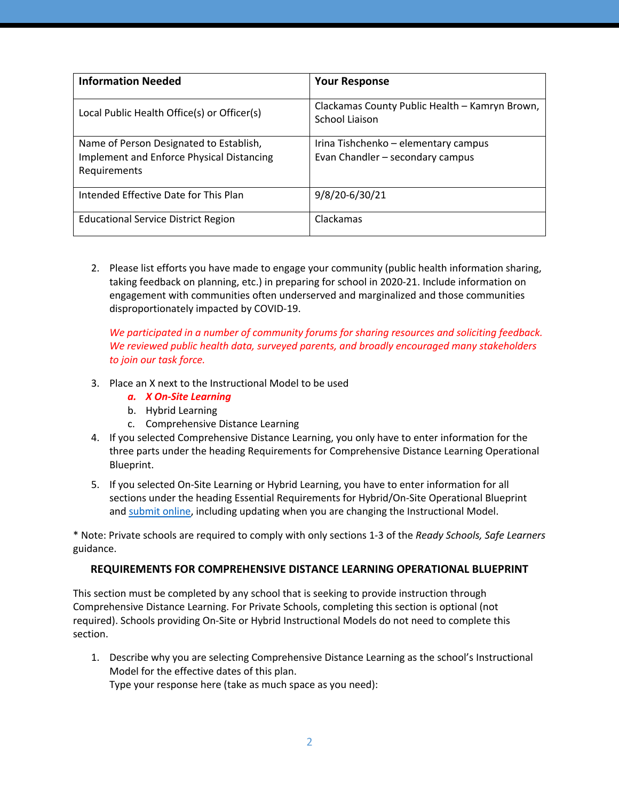| <b>Information Needed</b>                                                                            | <b>Your Response</b>                                                     |
|------------------------------------------------------------------------------------------------------|--------------------------------------------------------------------------|
| Local Public Health Office(s) or Officer(s)                                                          | Clackamas County Public Health - Kamryn Brown,<br>School Liaison         |
| Name of Person Designated to Establish,<br>Implement and Enforce Physical Distancing<br>Requirements | Irina Tishchenko – elementary campus<br>Evan Chandler - secondary campus |
| Intended Effective Date for This Plan                                                                | 9/8/20-6/30/21                                                           |
| <b>Educational Service District Region</b>                                                           | Clackamas                                                                |

2. Please list efforts you have made to engage your community (public health information sharing, taking feedback on planning, etc.) in preparing for school in 2020-21. Include information on engagement with communities often underserved and marginalized and those communities disproportionately impacted by COVID-19.

*We participated in a number of community forums for sharing resources and soliciting feedback. We reviewed public health data, surveyed parents, and broadly encouraged many stakeholders to join our task force.*

- 3. Place an X next to the Instructional Model to be used
	- *a. X On-Site Learning*
	- b. Hybrid Learning
	- c. Comprehensive Distance Learning
- 4. If you selected Comprehensive Distance Learning, you only have to enter information for the three parts under the heading Requirements for Comprehensive Distance Learning Operational Blueprint.
- 5. If you selected On-Site Learning or Hybrid Learning, you have to enter information for all sections under the heading Essential Requirements for Hybrid/On-Site Operational Blueprint and submit online, including updating when you are changing the Instructional Model.

\* Note: Private schools are required to comply with only sections 1-3 of the *Ready Schools, Safe Learners* guidance.

# **REQUIREMENTS FOR COMPREHENSIVE DISTANCE LEARNING OPERATIONAL BLUEPRINT**

This section must be completed by any school that is seeking to provide instruction through Comprehensive Distance Learning. For Private Schools, completing this section is optional (not required). Schools providing On-Site or Hybrid Instructional Models do not need to complete this section.

1. Describe why you are selecting Comprehensive Distance Learning as the school's Instructional Model for the effective dates of this plan. Type your response here (take as much space as you need):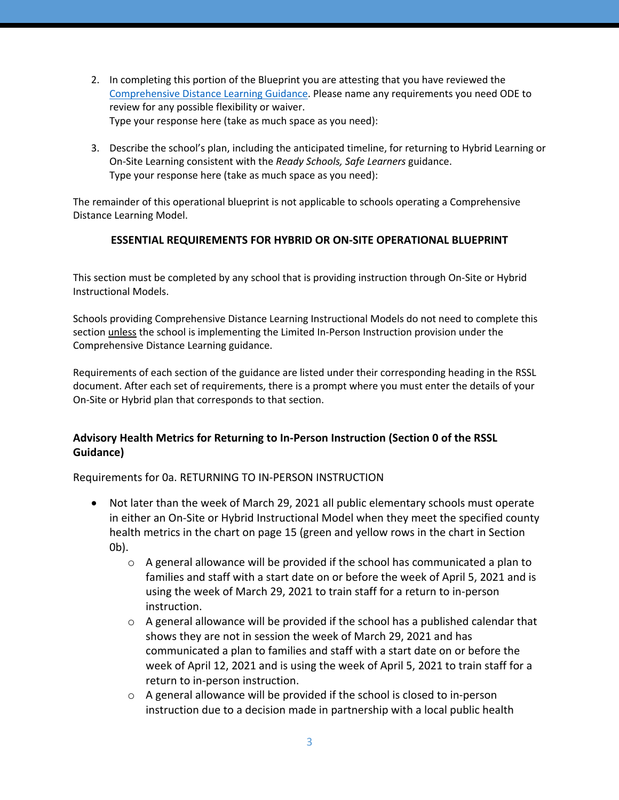- 2. In completing this portion of the Blueprint you are attesting that you have reviewed the Comprehensive Distance Learning Guidance. Please name any requirements you need ODE to review for any possible flexibility or waiver. Type your response here (take as much space as you need):
- 3. Describe the school's plan, including the anticipated timeline, for returning to Hybrid Learning or On-Site Learning consistent with the *Ready Schools, Safe Learners* guidance. Type your response here (take as much space as you need):

The remainder of this operational blueprint is not applicable to schools operating a Comprehensive Distance Learning Model.

# **ESSENTIAL REQUIREMENTS FOR HYBRID OR ON-SITE OPERATIONAL BLUEPRINT**

This section must be completed by any school that is providing instruction through On-Site or Hybrid Instructional Models.

Schools providing Comprehensive Distance Learning Instructional Models do not need to complete this section unless the school is implementing the Limited In-Person Instruction provision under the Comprehensive Distance Learning guidance.

Requirements of each section of the guidance are listed under their corresponding heading in the RSSL document. After each set of requirements, there is a prompt where you must enter the details of your On-Site or Hybrid plan that corresponds to that section.

# **Advisory Health Metrics for Returning to In-Person Instruction (Section 0 of the RSSL Guidance)**

Requirements for 0a. RETURNING TO IN-PERSON INSTRUCTION

- Not later than the week of March 29, 2021 all public elementary schools must operate in either an On-Site or Hybrid Instructional Model when they meet the specified county health metrics in the chart on page 15 (green and yellow rows in the chart in Section 0b).
	- $\circ$  A general allowance will be provided if the school has communicated a plan to families and staff with a start date on or before the week of April 5, 2021 and is using the week of March 29, 2021 to train staff for a return to in-person instruction.
	- $\circ$  A general allowance will be provided if the school has a published calendar that shows they are not in session the week of March 29, 2021 and has communicated a plan to families and staff with a start date on or before the week of April 12, 2021 and is using the week of April 5, 2021 to train staff for a return to in-person instruction.
	- $\circ$  A general allowance will be provided if the school is closed to in-person instruction due to a decision made in partnership with a local public health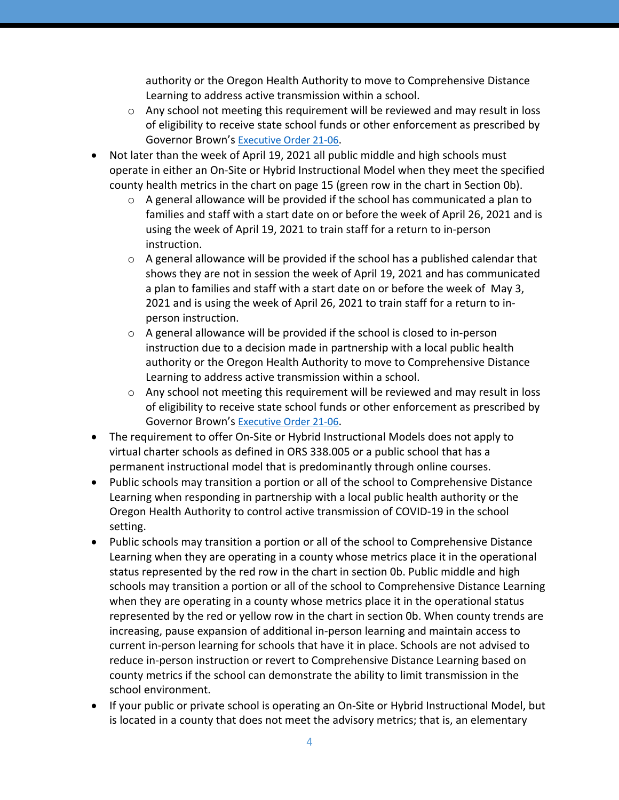authority or the Oregon Health Authority to move to Comprehensive Distance Learning to address active transmission within a school.

- o Any school not meeting this requirement will be reviewed and may result in loss of eligibility to receive state school funds or other enforcement as prescribed by Governor Brown's Executive Order 21-06.
- Not later than the week of April 19, 2021 all public middle and high schools must operate in either an On-Site or Hybrid Instructional Model when they meet the specified county health metrics in the chart on page 15 (green row in the chart in Section 0b).
	- o A general allowance will be provided if the school has communicated a plan to families and staff with a start date on or before the week of April 26, 2021 and is using the week of April 19, 2021 to train staff for a return to in-person instruction.
	- $\circ$  A general allowance will be provided if the school has a published calendar that shows they are not in session the week of April 19, 2021 and has communicated a plan to families and staff with a start date on or before the week of May 3, 2021 and is using the week of April 26, 2021 to train staff for a return to inperson instruction.
	- o A general allowance will be provided if the school is closed to in-person instruction due to a decision made in partnership with a local public health authority or the Oregon Health Authority to move to Comprehensive Distance Learning to address active transmission within a school.
	- $\circ$  Any school not meeting this requirement will be reviewed and may result in loss of eligibility to receive state school funds or other enforcement as prescribed by Governor Brown's Executive Order 21-06.
- The requirement to offer On-Site or Hybrid Instructional Models does not apply to virtual charter schools as defined in ORS 338.005 or a public school that has a permanent instructional model that is predominantly through online courses.
- Public schools may transition a portion or all of the school to Comprehensive Distance Learning when responding in partnership with a local public health authority or the Oregon Health Authority to control active transmission of COVID-19 in the school setting.
- Public schools may transition a portion or all of the school to Comprehensive Distance Learning when they are operating in a county whose metrics place it in the operational status represented by the red row in the chart in section 0b. Public middle and high schools may transition a portion or all of the school to Comprehensive Distance Learning when they are operating in a county whose metrics place it in the operational status represented by the red or yellow row in the chart in section 0b. When county trends are increasing, pause expansion of additional in-person learning and maintain access to current in-person learning for schools that have it in place. Schools are not advised to reduce in-person instruction or revert to Comprehensive Distance Learning based on county metrics if the school can demonstrate the ability to limit transmission in the school environment.
- If your public or private school is operating an On-Site or Hybrid Instructional Model, but is located in a county that does not meet the advisory metrics; that is, an elementary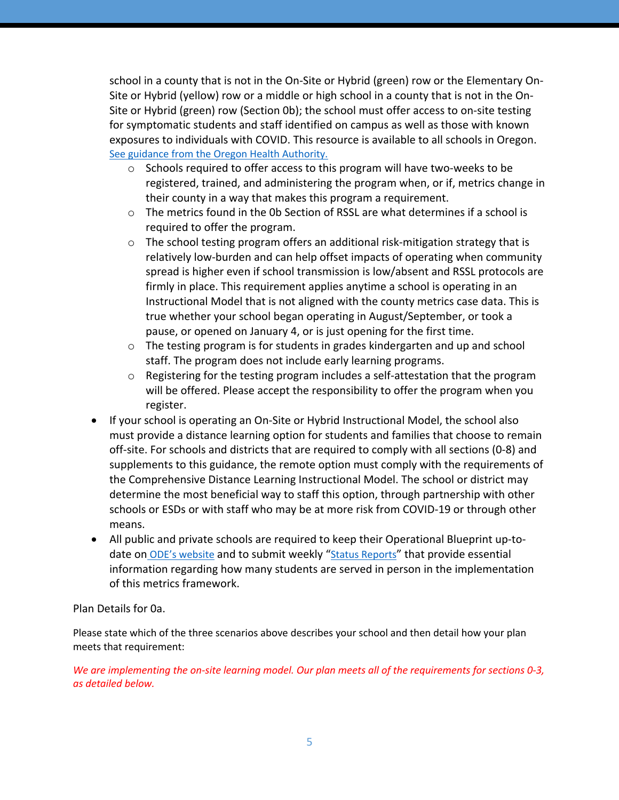school in a county that is not in the On-Site or Hybrid (green) row or the Elementary On-Site or Hybrid (yellow) row or a middle or high school in a county that is not in the On-Site or Hybrid (green) row (Section 0b); the school must offer access to on-site testing for symptomatic students and staff identified on campus as well as those with known exposures to individuals with COVID. This resource is available to all schools in Oregon. See guidance from the Oregon Health Authority.

- $\circ$  Schools required to offer access to this program will have two-weeks to be registered, trained, and administering the program when, or if, metrics change in their county in a way that makes this program a requirement.
- $\circ$  The metrics found in the 0b Section of RSSL are what determines if a school is required to offer the program.
- o The school testing program offers an additional risk-mitigation strategy that is relatively low-burden and can help offset impacts of operating when community spread is higher even if school transmission is low/absent and RSSL protocols are firmly in place. This requirement applies anytime a school is operating in an Instructional Model that is not aligned with the county metrics case data. This is true whether your school began operating in August/September, or took a pause, or opened on January 4, or is just opening for the first time.
- $\circ$  The testing program is for students in grades kindergarten and up and school staff. The program does not include early learning programs.
- $\circ$  Registering for the testing program includes a self-attestation that the program will be offered. Please accept the responsibility to offer the program when you register.
- If your school is operating an On-Site or Hybrid Instructional Model, the school also must provide a distance learning option for students and families that choose to remain off-site. For schools and districts that are required to comply with all sections (0-8) and supplements to this guidance, the remote option must comply with the requirements of the Comprehensive Distance Learning Instructional Model. The school or district may determine the most beneficial way to staff this option, through partnership with other schools or ESDs or with staff who may be at more risk from COVID-19 or through other means.
- All public and private schools are required to keep their Operational Blueprint up-todate on ODE's website and to submit weekly "Status Reports" that provide essential information regarding how many students are served in person in the implementation of this metrics framework.

# Plan Details for 0a.

Please state which of the three scenarios above describes your school and then detail how your plan meets that requirement:

*We are implementing the on-site learning model. Our plan meets all of the requirements for sections 0-3, as detailed below.*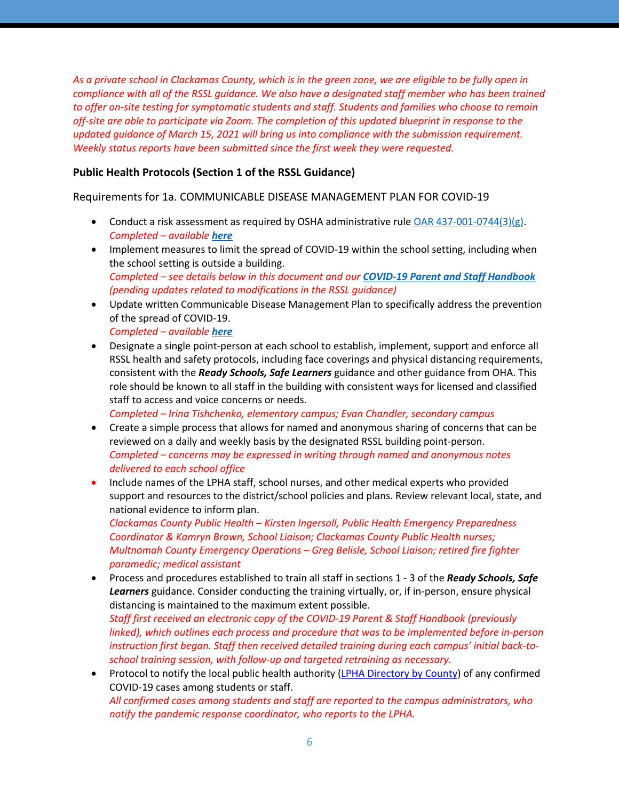*As a private school in Clackamas County, which is in the green zone, we are eligible to be fully open in compliance with all of the RSSL guidance. We also have a designated staff member who has been trained to offer on-site testing for symptomatic students and staff. Students and families who choose to remain off-site are able to participate via Zoom. The completion of this updated blueprint in response to the updated quidance of March 15, 2021 will bring us into compliance with the submission requirement. Weekly status reports have been submitted since the first week they were requested.*

## **Public Health Protocols (Section 1 of the RSSL Guidance)**

Requirements for 1a. COMMUNICABLE DISEASE MANAGEMENT PLAN FOR COVID-19

- Conduct a risk assessment as required by OSHA administrative rule OAR 437-001-0744(3)(g). *Completed – available here*
- Implement measures to limit the spread of COVID-19 within the school setting, including when the school setting is outside a building. *Completed – see details below in this document and our COVID-19 Parent and Staff Handbook (pending updates related to modifications in the RSSL guidance)*
- Update written Communicable Disease Management Plan to specifically address the prevention of the spread of COVID-19.

*Completed – available here*

• Designate a single point-person at each school to establish, implement, support and enforce all RSSL health and safety protocols, including face coverings and physical distancing requirements, consistent with the *Ready Schools, Safe Learners* guidance and other guidance from OHA. This role should be known to all staff in the building with consistent ways for licensed and classified staff to access and voice concerns or needs.

*Completed – Irina Tishchenko, elementary campus; Evan Chandler, secondary campus*

- Create a simple process that allows for named and anonymous sharing of concerns that can be reviewed on a daily and weekly basis by the designated RSSL building point-person. *Completed – concerns may be expressed in writing through named and anonymous notes delivered to each school office*
- Include names of the LPHA staff, school nurses, and other medical experts who provided support and resources to the district/school policies and plans. Review relevant local, state, and national evidence to inform plan.

*Clackamas County Public Health – Kirsten Ingersoll, Public Health Emergency Preparedness Coordinator & Kamryn Brown, School Liaison; Clackamas County Public Health nurses; Multnomah County Emergency Operations – Greg Belisle, School Liaison; retired fire fighter paramedic; medical assistant*

• Process and procedures established to train all staff in sections 1 - 3 of the *Ready Schools, Safe Learners* guidance. Consider conducting the training virtually, or, if in-person, ensure physical distancing is maintained to the maximum extent possible.

*Staff first received an electronic copy of the COVID-19 Parent & Staff Handbook (previously linked), which outlines each process and procedure that was to be implemented before in-person instruction first began. Staff then received detailed training during each campus' initial back-toschool training session, with follow-up and targeted retraining as necessary.*

• Protocol to notify the local public health authority (LPHA Directory by County) of any confirmed COVID-19 cases among students or staff. *All confirmed cases among students and staff are reported to the campus administrators, who notify the pandemic response coordinator, who reports to the LPHA.*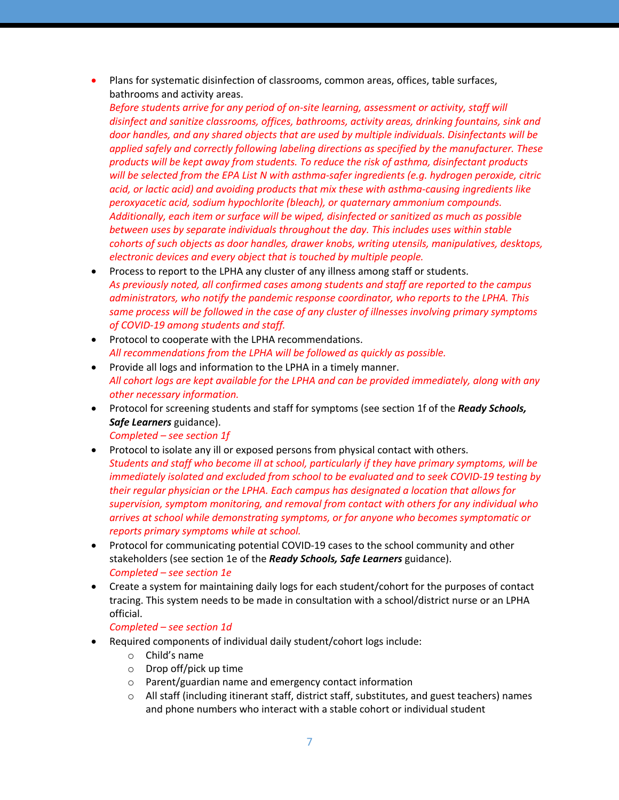• Plans for systematic disinfection of classrooms, common areas, offices, table surfaces, bathrooms and activity areas.

*Before students arrive for any period of on-site learning, assessment or activity, staff will disinfect and sanitize classrooms, offices, bathrooms, activity areas, drinking fountains, sink and door handles, and any shared objects that are used by multiple individuals. Disinfectants will be applied safely and correctly following labeling directions as specified by the manufacturer. These products will be kept away from students. To reduce the risk of asthma, disinfectant products will be selected from the EPA List N with asthma-safer ingredients (e.g. hydrogen peroxide, citric acid, or lactic acid) and avoiding products that mix these with asthma-causing ingredients like peroxyacetic acid, sodium hypochlorite (bleach), or quaternary ammonium compounds. Additionally, each item or surface will be wiped, disinfected or sanitized as much as possible between uses by separate individuals throughout the day. This includes uses within stable cohorts of such objects as door handles, drawer knobs, writing utensils, manipulatives, desktops, electronic devices and every object that is touched by multiple people.*

- Process to report to the LPHA any cluster of any illness among staff or students. *As previously noted, all confirmed cases among students and staff are reported to the campus administrators, who notify the pandemic response coordinator, who reports to the LPHA. This same process will be followed in the case of any cluster of illnesses involving primary symptoms of COVID-19 among students and staff.*
- Protocol to cooperate with the LPHA recommendations. *All recommendations from the LPHA will be followed as quickly as possible.*
- Provide all logs and information to the LPHA in a timely manner. *All cohort logs are kept available for the LPHA and can be provided immediately, along with any other necessary information.*
- Protocol for screening students and staff for symptoms (see section 1f of the *Ready Schools, Safe Learners* guidance).
	- *Completed – see section 1f*
- Protocol to isolate any ill or exposed persons from physical contact with others. *Students and staff who become ill at school, particularly if they have primary symptoms, will be immediately isolated and excluded from school to be evaluated and to seek COVID-19 testing by their regular physician or the LPHA. Each campus has designated a location that allows for supervision, symptom monitoring, and removal from contact with others for any individual who arrives at school while demonstrating symptoms, or for anyone who becomes symptomatic or reports primary symptoms while at school.*
- Protocol for communicating potential COVID-19 cases to the school community and other stakeholders (see section 1e of the *Ready Schools, Safe Learners* guidance). *Completed – see section 1e*
- Create a system for maintaining daily logs for each student/cohort for the purposes of contact tracing. This system needs to be made in consultation with a school/district nurse or an LPHA official.

#### *Completed – see section 1d*

- Required components of individual daily student/cohort logs include:
	- o Child's name
	- o Drop off/pick up time
	- o Parent/guardian name and emergency contact information
	- $\circ$  All staff (including itinerant staff, district staff, substitutes, and guest teachers) names and phone numbers who interact with a stable cohort or individual student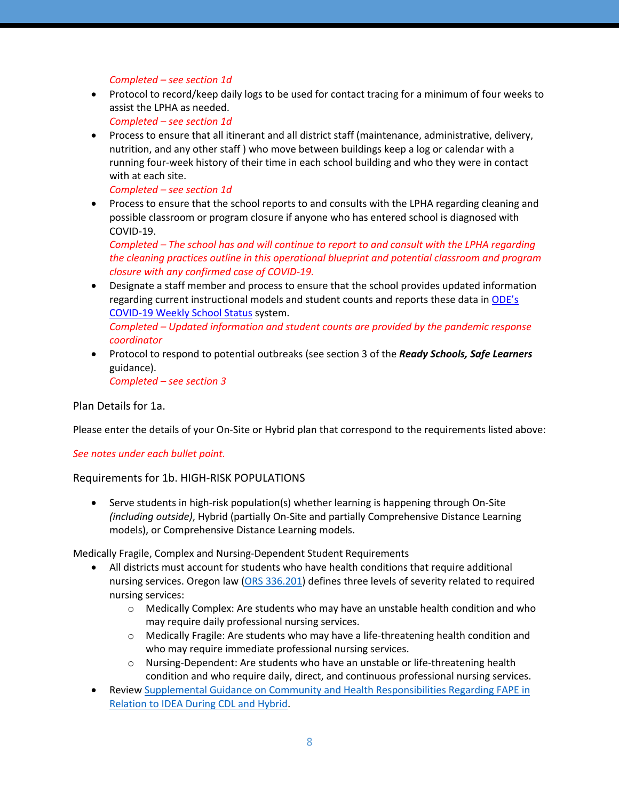*Completed – see section 1d*

• Protocol to record/keep daily logs to be used for contact tracing for a minimum of four weeks to assist the LPHA as needed.

*Completed – see section 1d*

• Process to ensure that all itinerant and all district staff (maintenance, administrative, delivery, nutrition, and any other staff ) who move between buildings keep a log or calendar with a running four-week history of their time in each school building and who they were in contact with at each site.

*Completed – see section 1d*

• Process to ensure that the school reports to and consults with the LPHA regarding cleaning and possible classroom or program closure if anyone who has entered school is diagnosed with COVID-19.

*Completed – The school has and will continue to report to and consult with the LPHA regarding the cleaning practices outline in this operational blueprint and potential classroom and program closure with any confirmed case of COVID-19.*

- Designate a staff member and process to ensure that the school provides updated information regarding current instructional models and student counts and reports these data in ODE's COVID-19 Weekly School Status system. *Completed – Updated information and student counts are provided by the pandemic response coordinator*
- Protocol to respond to potential outbreaks (see section 3 of the *Ready Schools, Safe Learners* guidance). *Completed – see section 3*

Plan Details for 1a.

Please enter the details of your On-Site or Hybrid plan that correspond to the requirements listed above:

*See notes under each bullet point.*

### Requirements for 1b. HIGH-RISK POPULATIONS

• Serve students in high-risk population(s) whether learning is happening through On-Site *(including outside)*, Hybrid (partially On-Site and partially Comprehensive Distance Learning models), or Comprehensive Distance Learning models.

Medically Fragile, Complex and Nursing-Dependent Student Requirements

- All districts must account for students who have health conditions that require additional nursing services. Oregon law (ORS 336.201) defines three levels of severity related to required nursing services:
	- o Medically Complex: Are students who may have an unstable health condition and who may require daily professional nursing services.
	- o Medically Fragile: Are students who may have a life-threatening health condition and who may require immediate professional nursing services.
	- $\circ$  Nursing-Dependent: Are students who have an unstable or life-threatening health condition and who require daily, direct, and continuous professional nursing services.
- Review Supplemental Guidance on Community and Health Responsibilities Regarding FAPE in Relation to IDEA During CDL and Hybrid.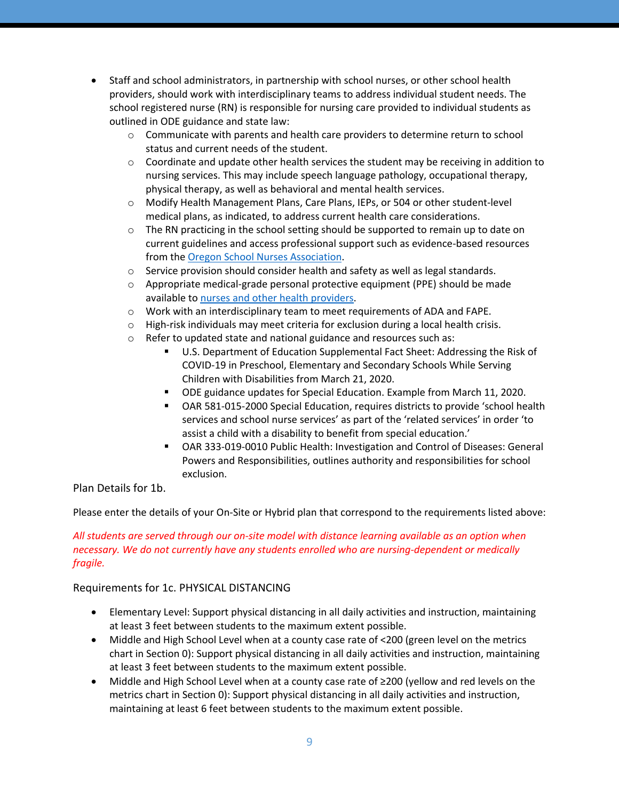- Staff and school administrators, in partnership with school nurses, or other school health providers, should work with interdisciplinary teams to address individual student needs. The school registered nurse (RN) is responsible for nursing care provided to individual students as outlined in ODE guidance and state law:
	- $\circ$  Communicate with parents and health care providers to determine return to school status and current needs of the student.
	- $\circ$  Coordinate and update other health services the student may be receiving in addition to nursing services. This may include speech language pathology, occupational therapy, physical therapy, as well as behavioral and mental health services.
	- o Modify Health Management Plans, Care Plans, IEPs, or 504 or other student-level medical plans, as indicated, to address current health care considerations.
	- $\circ$  The RN practicing in the school setting should be supported to remain up to date on current guidelines and access professional support such as evidence-based resources from the Oregon School Nurses Association.
	- $\circ$  Service provision should consider health and safety as well as legal standards.
	- $\circ$  Appropriate medical-grade personal protective equipment (PPE) should be made available to nurses and other health providers.
	- o Work with an interdisciplinary team to meet requirements of ADA and FAPE.
	- $\circ$  High-risk individuals may meet criteria for exclusion during a local health crisis.
	- o Refer to updated state and national guidance and resources such as:
		- § U.S. Department of Education Supplemental Fact Sheet: Addressing the Risk of COVID-19 in Preschool, Elementary and Secondary Schools While Serving Children with Disabilities from March 21, 2020.
		- § ODE guidance updates for Special Education. Example from March 11, 2020.
		- OAR 581-015-2000 Special Education, requires districts to provide 'school health services and school nurse services' as part of the 'related services' in order 'to assist a child with a disability to benefit from special education.'
		- § OAR 333-019-0010 Public Health: Investigation and Control of Diseases: General Powers and Responsibilities, outlines authority and responsibilities for school exclusion.

# Plan Details for 1b.

Please enter the details of your On-Site or Hybrid plan that correspond to the requirements listed above:

## *All students are served through our on-site model with distance learning available as an option when necessary. We do not currently have any students enrolled who are nursing-dependent or medically fragile.*

### Requirements for 1c. PHYSICAL DISTANCING

- Elementary Level: Support physical distancing in all daily activities and instruction, maintaining at least 3 feet between students to the maximum extent possible.
- Middle and High School Level when at a county case rate of <200 (green level on the metrics chart in Section 0): Support physical distancing in all daily activities and instruction, maintaining at least 3 feet between students to the maximum extent possible.
- Middle and High School Level when at a county case rate of ≥200 (yellow and red levels on the metrics chart in Section 0): Support physical distancing in all daily activities and instruction, maintaining at least 6 feet between students to the maximum extent possible.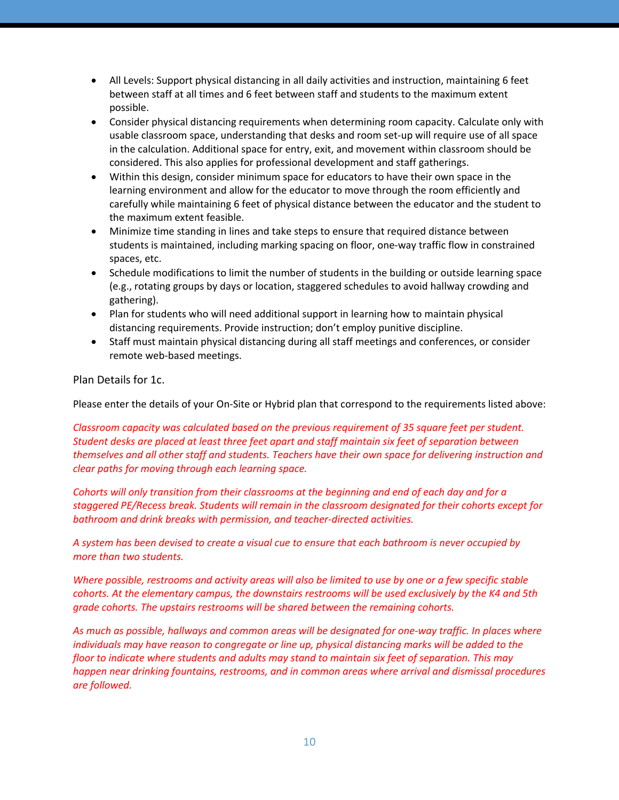- All Levels: Support physical distancing in all daily activities and instruction, maintaining 6 feet between staff at all times and 6 feet between staff and students to the maximum extent possible.
- Consider physical distancing requirements when determining room capacity. Calculate only with usable classroom space, understanding that desks and room set-up will require use of all space in the calculation. Additional space for entry, exit, and movement within classroom should be considered. This also applies for professional development and staff gatherings.
- Within this design, consider minimum space for educators to have their own space in the learning environment and allow for the educator to move through the room efficiently and carefully while maintaining 6 feet of physical distance between the educator and the student to the maximum extent feasible.
- Minimize time standing in lines and take steps to ensure that required distance between students is maintained, including marking spacing on floor, one-way traffic flow in constrained spaces, etc.
- Schedule modifications to limit the number of students in the building or outside learning space (e.g., rotating groups by days or location, staggered schedules to avoid hallway crowding and gathering).
- Plan for students who will need additional support in learning how to maintain physical distancing requirements. Provide instruction; don't employ punitive discipline.
- Staff must maintain physical distancing during all staff meetings and conferences, or consider remote web-based meetings.

Plan Details for 1c.

Please enter the details of your On-Site or Hybrid plan that correspond to the requirements listed above:

*Classroom capacity was calculated based on the previous requirement of 35 square feet per student. Student desks are placed at least three feet apart and staff maintain six feet of separation between themselves and all other staff and students. Teachers have their own space for delivering instruction and clear paths for moving through each learning space.*

*Cohorts will only transition from their classrooms at the beginning and end of each day and for a staggered PE/Recess break. Students will remain in the classroom designated for their cohorts except for bathroom and drink breaks with permission, and teacher-directed activities.*

*A system has been devised to create a visual cue to ensure that each bathroom is never occupied by more than two students.*

*Where possible, restrooms and activity areas will also be limited to use by one or a few specific stable cohorts. At the elementary campus, the downstairs restrooms will be used exclusively by the K4 and 5th grade cohorts. The upstairs restrooms will be shared between the remaining cohorts.* 

*As much as possible, hallways and common areas will be designated for one-way traffic. In places where individuals may have reason to congregate or line up, physical distancing marks will be added to the floor to indicate where students and adults may stand to maintain six feet of separation. This may happen near drinking fountains, restrooms, and in common areas where arrival and dismissal procedures are followed.*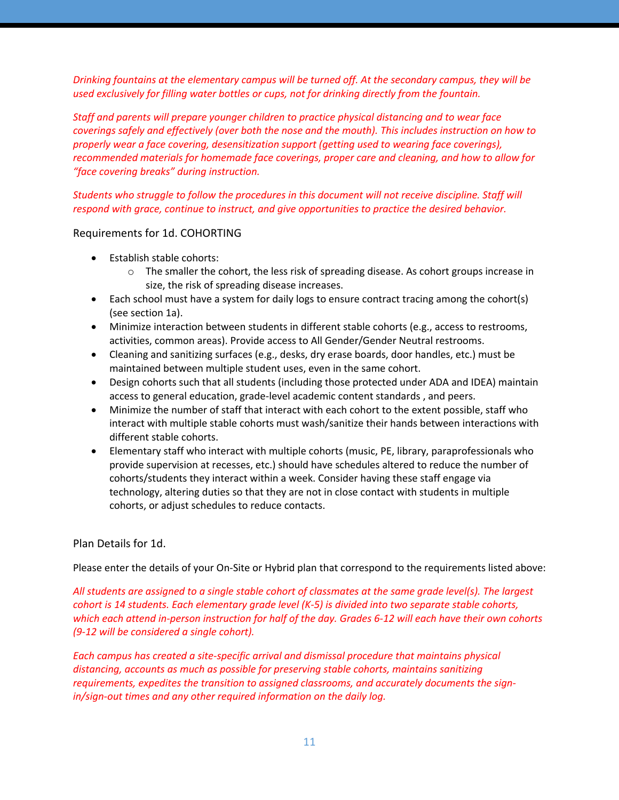*Drinking fountains at the elementary campus will be turned off. At the secondary campus, they will be used exclusively for filling water bottles or cups, not for drinking directly from the fountain.*

*Staff and parents will prepare younger children to practice physical distancing and to wear face coverings safely and effectively (over both the nose and the mouth). This includes instruction on how to properly wear a face covering, desensitization support (getting used to wearing face coverings), recommended materials for homemade face coverings, proper care and cleaning, and how to allow for "face covering breaks" during instruction.*

*Students who struggle to follow the procedures in this document will not receive discipline. Staff will respond with grace, continue to instruct, and give opportunities to practice the desired behavior.*

## Requirements for 1d. COHORTING

- Establish stable cohorts:
	- $\circ$  The smaller the cohort, the less risk of spreading disease. As cohort groups increase in size, the risk of spreading disease increases.
- Each school must have a system for daily logs to ensure contract tracing among the cohort(s) (see section 1a).
- Minimize interaction between students in different stable cohorts (e.g., access to restrooms, activities, common areas). Provide access to All Gender/Gender Neutral restrooms.
- Cleaning and sanitizing surfaces (e.g., desks, dry erase boards, door handles, etc.) must be maintained between multiple student uses, even in the same cohort.
- Design cohorts such that all students (including those protected under ADA and IDEA) maintain access to general education, grade-level academic content standards , and peers.
- Minimize the number of staff that interact with each cohort to the extent possible, staff who interact with multiple stable cohorts must wash/sanitize their hands between interactions with different stable cohorts.
- Elementary staff who interact with multiple cohorts (music, PE, library, paraprofessionals who provide supervision at recesses, etc.) should have schedules altered to reduce the number of cohorts/students they interact within a week. Consider having these staff engage via technology, altering duties so that they are not in close contact with students in multiple cohorts, or adjust schedules to reduce contacts.

# Plan Details for 1d.

Please enter the details of your On-Site or Hybrid plan that correspond to the requirements listed above:

*All students are assigned to a single stable cohort of classmates at the same grade level(s). The largest cohort is 14 students. Each elementary grade level (K-5) is divided into two separate stable cohorts, which each attend in-person instruction for half of the day. Grades 6-12 will each have their own cohorts (9-12 will be considered a single cohort).*

*Each campus has created a site-specific arrival and dismissal procedure that maintains physical distancing, accounts as much as possible for preserving stable cohorts, maintains sanitizing requirements, expedites the transition to assigned classrooms, and accurately documents the signin/sign-out times and any other required information on the daily log.*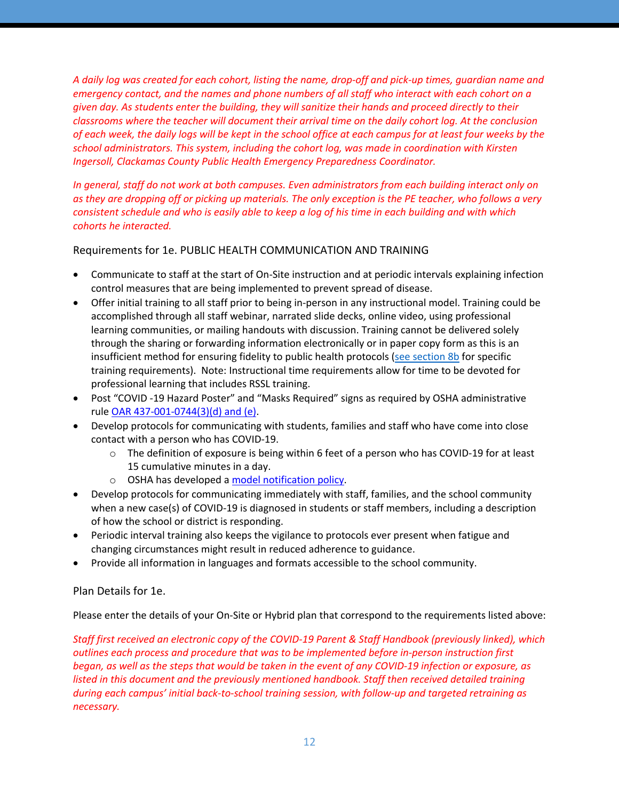*A daily log was created for each cohort, listing the name, drop-off and pick-up times, guardian name and emergency contact, and the names and phone numbers of all staff who interact with each cohort on a given day. As students enter the building, they will sanitize their hands and proceed directly to their classrooms where the teacher will document their arrival time on the daily cohort log. At the conclusion of each week, the daily logs will be kept in the school office at each campus for at least four weeks by the school administrators. This system, including the cohort log, was made in coordination with Kirsten Ingersoll, Clackamas County Public Health Emergency Preparedness Coordinator.*

*In general, staff do not work at both campuses. Even administrators from each building interact only on as they are dropping off or picking up materials. The only exception is the PE teacher, who follows a very consistent schedule and who is easily able to keep a log of his time in each building and with which cohorts he interacted.*

Requirements for 1e. PUBLIC HEALTH COMMUNICATION AND TRAINING

- Communicate to staff at the start of On-Site instruction and at periodic intervals explaining infection control measures that are being implemented to prevent spread of disease.
- Offer initial training to all staff prior to being in-person in any instructional model. Training could be accomplished through all staff webinar, narrated slide decks, online video, using professional learning communities, or mailing handouts with discussion. Training cannot be delivered solely through the sharing or forwarding information electronically or in paper copy form as this is an insufficient method for ensuring fidelity to public health protocols (see section 8b for specific training requirements). Note: Instructional time requirements allow for time to be devoted for professional learning that includes RSSL training.
- Post "COVID -19 Hazard Poster" and "Masks Required" signs as required by OSHA administrative rule OAR 437-001-0744(3)(d) and (e).
- Develop protocols for communicating with students, families and staff who have come into close contact with a person who has COVID-19.
	- $\circ$  The definition of exposure is being within 6 feet of a person who has COVID-19 for at least 15 cumulative minutes in a day.
	- o OSHA has developed a model notification policy.
- Develop protocols for communicating immediately with staff, families, and the school community when a new case(s) of COVID-19 is diagnosed in students or staff members, including a description of how the school or district is responding.
- Periodic interval training also keeps the vigilance to protocols ever present when fatigue and changing circumstances might result in reduced adherence to guidance.
- Provide all information in languages and formats accessible to the school community.

Plan Details for 1e.

Please enter the details of your On-Site or Hybrid plan that correspond to the requirements listed above:

*Staff first received an electronic copy of the COVID-19 Parent & Staff Handbook (previously linked), which outlines each process and procedure that was to be implemented before in-person instruction first began, as well as the steps that would be taken in the event of any COVID-19 infection or exposure, as listed in this document and the previously mentioned handbook. Staff then received detailed training during each campus' initial back-to-school training session, with follow-up and targeted retraining as necessary.*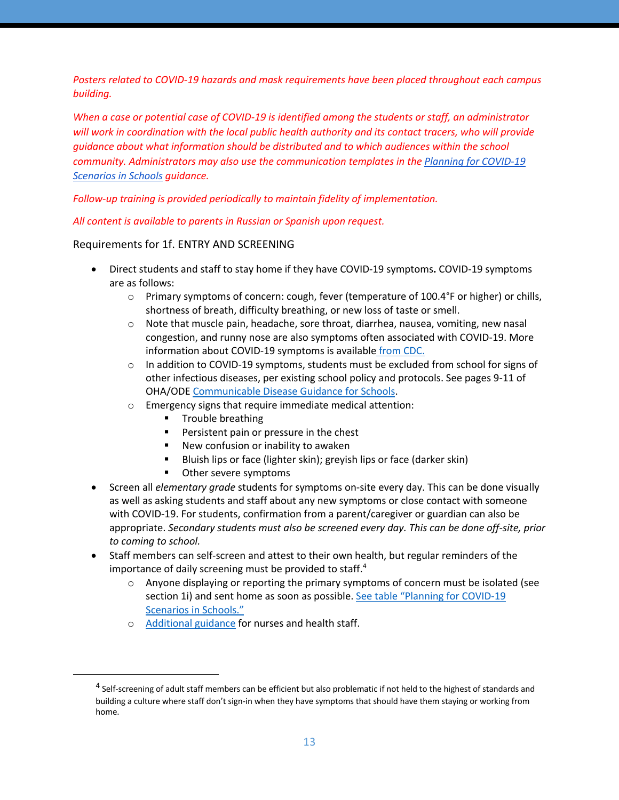*Posters related to COVID-19 hazards and mask requirements have been placed throughout each campus building.*

*When a case or potential case of COVID-19 is identified among the students or staff, an administrator will work in coordination with the local public health authority and its contact tracers, who will provide guidance about what information should be distributed and to which audiences within the school community. Administrators may also use the communication templates in the Planning for COVID-19 Scenarios in Schools guidance.*

### *Follow-up training is provided periodically to maintain fidelity of implementation.*

*All content is available to parents in Russian or Spanish upon request.*

## Requirements for 1f. ENTRY AND SCREENING

- Direct students and staff to stay home if they have COVID-19 symptoms**.** COVID-19 symptoms are as follows:
	- $\circ$  Primary symptoms of concern: cough, fever (temperature of 100.4°F or higher) or chills, shortness of breath, difficulty breathing, or new loss of taste or smell.
	- $\circ$  Note that muscle pain, headache, sore throat, diarrhea, nausea, vomiting, new nasal congestion, and runny nose are also symptoms often associated with COVID-19. More information about COVID-19 symptoms is available from CDC.
	- $\circ$  In addition to COVID-19 symptoms, students must be excluded from school for signs of other infectious diseases, per existing school policy and protocols. See pages 9-11 of OHA/ODE Communicable Disease Guidance for Schools.
	- o Emergency signs that require immediate medical attention:
		- Trouble breathing
		- Persistent pain or pressure in the chest
		- New confusion or inability to awaken
		- § Bluish lips or face (lighter skin); greyish lips or face (darker skin)
		- Other severe symptoms
- Screen all *elementary grade* students for symptoms on-site every day. This can be done visually as well as asking students and staff about any new symptoms or close contact with someone with COVID-19. For students, confirmation from a parent/caregiver or guardian can also be appropriate. *Secondary students must also be screened every day. This can be done off-site, prior to coming to school.*
- Staff members can self-screen and attest to their own health, but regular reminders of the importance of daily screening must be provided to staff.<sup>4</sup>
	- $\circ$  Anyone displaying or reporting the primary symptoms of concern must be isolated (see section 1i) and sent home as soon as possible. See table "Planning for COVID-19 Scenarios in Schools."
	- o Additional guidance for nurses and health staff.

<sup>&</sup>lt;sup>4</sup> Self-screening of adult staff members can be efficient but also problematic if not held to the highest of standards and building a culture where staff don't sign-in when they have symptoms that should have them staying or working from home.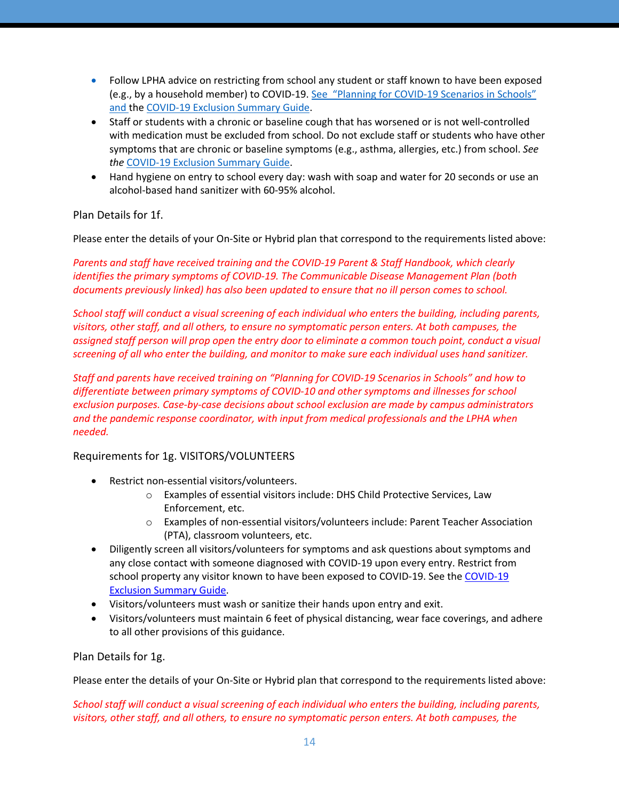- Follow LPHA advice on restricting from school any student or staff known to have been exposed (e.g., by a household member) to COVID-19. See "Planning for COVID-19 Scenarios in Schools" and the COVID-19 Exclusion Summary Guide.
- Staff or students with a chronic or baseline cough that has worsened or is not well-controlled with medication must be excluded from school. Do not exclude staff or students who have other symptoms that are chronic or baseline symptoms (e.g., asthma, allergies, etc.) from school. *See the* COVID-19 Exclusion Summary Guide.
- Hand hygiene on entry to school every day: wash with soap and water for 20 seconds or use an alcohol-based hand sanitizer with 60-95% alcohol.

# Plan Details for 1f.

Please enter the details of your On-Site or Hybrid plan that correspond to the requirements listed above:

*Parents and staff have received training and the COVID-19 Parent & Staff Handbook, which clearly identifies the primary symptoms of COVID-19. The Communicable Disease Management Plan (both documents previously linked) has also been updated to ensure that no ill person comes to school.*

*School staff will conduct a visual screening of each individual who enters the building, including parents, visitors, other staff, and all others, to ensure no symptomatic person enters. At both campuses, the assigned staff person will prop open the entry door to eliminate a common touch point, conduct a visual screening of all who enter the building, and monitor to make sure each individual uses hand sanitizer.*

*Staff and parents have received training on "Planning for COVID-19 Scenarios in Schools" and how to differentiate between primary symptoms of COVID-10 and other symptoms and illnesses for school exclusion purposes. Case-by-case decisions about school exclusion are made by campus administrators and the pandemic response coordinator, with input from medical professionals and the LPHA when needed.*

### Requirements for 1g. VISITORS/VOLUNTEERS

- Restrict non-essential visitors/volunteers.
	- o Examples of essential visitors include: DHS Child Protective Services, Law Enforcement, etc.
	- o Examples of non-essential visitors/volunteers include: Parent Teacher Association (PTA), classroom volunteers, etc.
- Diligently screen all visitors/volunteers for symptoms and ask questions about symptoms and any close contact with someone diagnosed with COVID-19 upon every entry. Restrict from school property any visitor known to have been exposed to COVID-19. See the COVID-19 Exclusion Summary Guide.
- Visitors/volunteers must wash or sanitize their hands upon entry and exit.
- Visitors/volunteers must maintain 6 feet of physical distancing, wear face coverings, and adhere to all other provisions of this guidance.

Plan Details for 1g.

Please enter the details of your On-Site or Hybrid plan that correspond to the requirements listed above:

*School staff will conduct a visual screening of each individual who enters the building, including parents, visitors, other staff, and all others, to ensure no symptomatic person enters. At both campuses, the*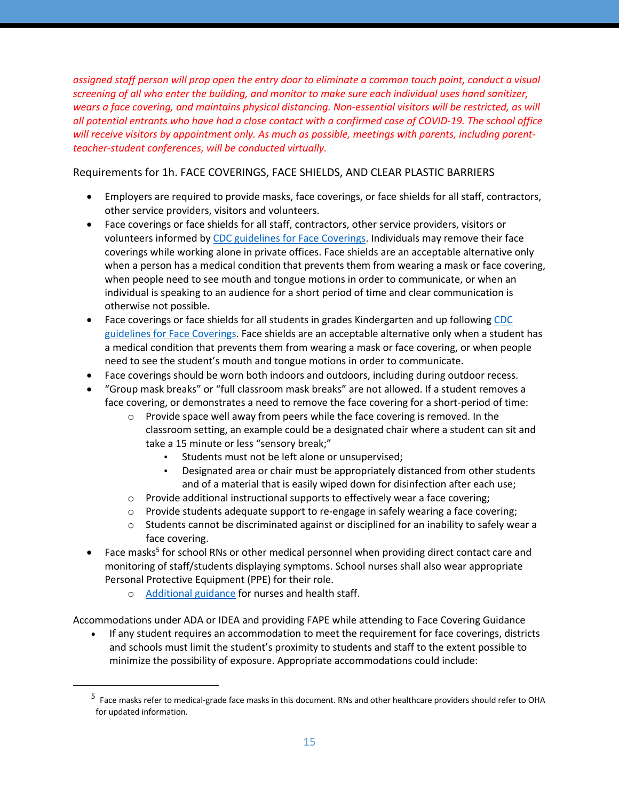*assigned staff person will prop open the entry door to eliminate a common touch point, conduct a visual screening of all who enter the building, and monitor to make sure each individual uses hand sanitizer, wears a face covering, and maintains physical distancing. Non-essential visitors will be restricted, as will all potential entrants who have had a close contact with a confirmed case of COVID-19. The school office will receive visitors by appointment only. As much as possible, meetings with parents, including parentteacher-student conferences, will be conducted virtually.*

Requirements for 1h. FACE COVERINGS, FACE SHIELDS, AND CLEAR PLASTIC BARRIERS

- Employers are required to provide masks, face coverings, or face shields for all staff, contractors, other service providers, visitors and volunteers.
- Face coverings or face shields for all staff, contractors, other service providers, visitors or volunteers informed by CDC guidelines for Face Coverings. Individuals may remove their face coverings while working alone in private offices. Face shields are an acceptable alternative only when a person has a medical condition that prevents them from wearing a mask or face covering, when people need to see mouth and tongue motions in order to communicate, or when an individual is speaking to an audience for a short period of time and clear communication is otherwise not possible.
- Face coverings or face shields for all students in grades Kindergarten and up following CDC guidelines for Face Coverings. Face shields are an acceptable alternative only when a student has a medical condition that prevents them from wearing a mask or face covering, or when people need to see the student's mouth and tongue motions in order to communicate.
- Face coverings should be worn both indoors and outdoors, including during outdoor recess.
- "Group mask breaks" or "full classroom mask breaks" are not allowed. If a student removes a face covering, or demonstrates a need to remove the face covering for a short-period of time:
	- o Provide space well away from peers while the face covering is removed. In the classroom setting, an example could be a designated chair where a student can sit and take a 15 minute or less "sensory break;"
		- Students must not be left alone or unsupervised;
		- Designated area or chair must be appropriately distanced from other students and of a material that is easily wiped down for disinfection after each use;
	- $\circ$  Provide additional instructional supports to effectively wear a face covering;
	- $\circ$  Provide students adequate support to re-engage in safely wearing a face covering;
	- $\circ$  Students cannot be discriminated against or disciplined for an inability to safely wear a face covering.
- Face masks<sup>5</sup> for school RNs or other medical personnel when providing direct contact care and monitoring of staff/students displaying symptoms. School nurses shall also wear appropriate Personal Protective Equipment (PPE) for their role.
	- o Additional guidance for nurses and health staff.

Accommodations under ADA or IDEA and providing FAPE while attending to Face Covering Guidance

• If any student requires an accommodation to meet the requirement for face coverings, districts and schools must limit the student's proximity to students and staff to the extent possible to minimize the possibility of exposure. Appropriate accommodations could include:

<sup>5</sup> Face masks refer to medical-grade face masks in this document. RNs and other healthcare providers should refer to OHA for updated information.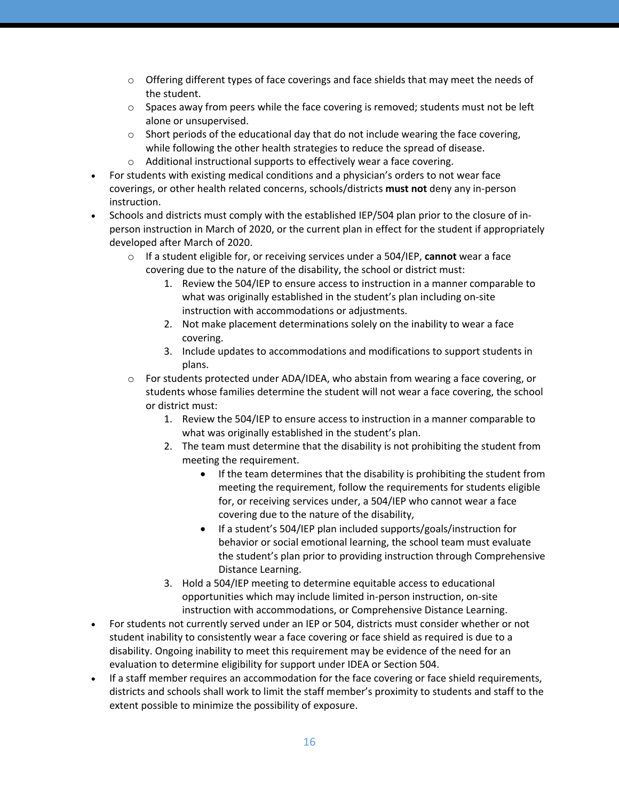- $\circ$  Offering different types of face coverings and face shields that may meet the needs of the student.
- $\circ$  Spaces away from peers while the face covering is removed; students must not be left alone or unsupervised.
- $\circ$  Short periods of the educational day that do not include wearing the face covering, while following the other health strategies to reduce the spread of disease.
- o Additional instructional supports to effectively wear a face covering.
- For students with existing medical conditions and a physician's orders to not wear face coverings, or other health related concerns, schools/districts **must not** deny any in-person instruction.
- Schools and districts must comply with the established IEP/504 plan prior to the closure of inperson instruction in March of 2020, or the current plan in effect for the student if appropriately developed after March of 2020.
	- o If a student eligible for, or receiving services under a 504/IEP, **cannot** wear a face covering due to the nature of the disability, the school or district must:
		- 1. Review the 504/IEP to ensure access to instruction in a manner comparable to what was originally established in the student's plan including on-site instruction with accommodations or adjustments.
		- 2. Not make placement determinations solely on the inability to wear a face covering.
		- 3. Include updates to accommodations and modifications to support students in plans.
	- $\circ$  For students protected under ADA/IDEA, who abstain from wearing a face covering, or students whose families determine the student will not wear a face covering, the school or district must:
		- 1. Review the 504/IEP to ensure access to instruction in a manner comparable to what was originally established in the student's plan.
		- 2. The team must determine that the disability is not prohibiting the student from meeting the requirement.
			- If the team determines that the disability is prohibiting the student from meeting the requirement, follow the requirements for students eligible for, or receiving services under, a 504/IEP who cannot wear a face covering due to the nature of the disability,
			- If a student's 504/IEP plan included supports/goals/instruction for behavior or social emotional learning, the school team must evaluate the student's plan prior to providing instruction through Comprehensive Distance Learning.
		- 3. Hold a 504/IEP meeting to determine equitable access to educational opportunities which may include limited in-person instruction, on-site instruction with accommodations, or Comprehensive Distance Learning.
- For students not currently served under an IEP or 504, districts must consider whether or not student inability to consistently wear a face covering or face shield as required is due to a disability. Ongoing inability to meet this requirement may be evidence of the need for an evaluation to determine eligibility for support under IDEA or Section 504.
- If a staff member requires an accommodation for the face covering or face shield requirements, districts and schools shall work to limit the staff member's proximity to students and staff to the extent possible to minimize the possibility of exposure.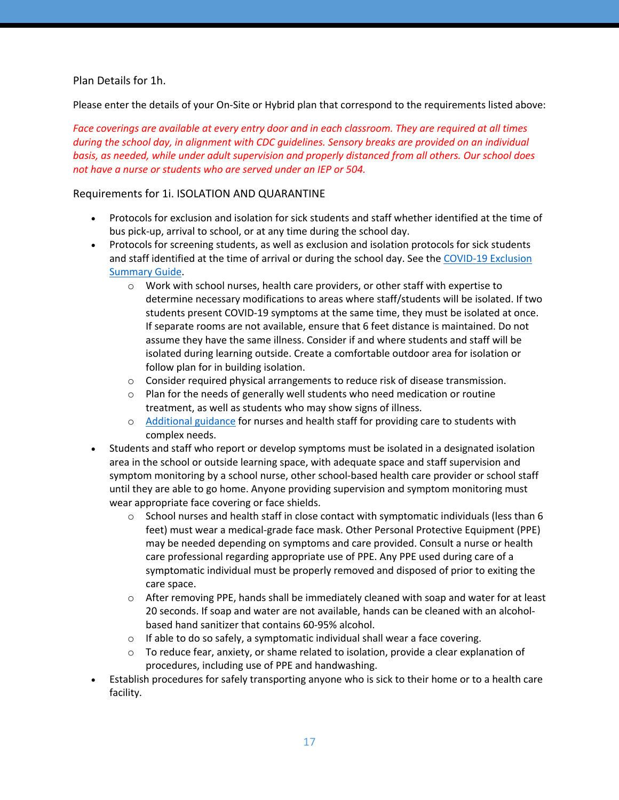## Plan Details for 1h.

Please enter the details of your On-Site or Hybrid plan that correspond to the requirements listed above:

*Face coverings are available at every entry door and in each classroom. They are required at all times during the school day, in alignment with CDC guidelines. Sensory breaks are provided on an individual basis, as needed, while under adult supervision and properly distanced from all others. Our school does not have a nurse or students who are served under an IEP or 504.*

### Requirements for 1i. ISOLATION AND QUARANTINE

- Protocols for exclusion and isolation for sick students and staff whether identified at the time of bus pick-up, arrival to school, or at any time during the school day.
- Protocols for screening students, as well as exclusion and isolation protocols for sick students and staff identified at the time of arrival or during the school day. See the COVID-19 Exclusion Summary Guide.
	- $\circ$  Work with school nurses, health care providers, or other staff with expertise to determine necessary modifications to areas where staff/students will be isolated. If two students present COVID-19 symptoms at the same time, they must be isolated at once. If separate rooms are not available, ensure that 6 feet distance is maintained. Do not assume they have the same illness. Consider if and where students and staff will be isolated during learning outside. Create a comfortable outdoor area for isolation or follow plan for in building isolation.
	- $\circ$  Consider required physical arrangements to reduce risk of disease transmission.
	- o Plan for the needs of generally well students who need medication or routine treatment, as well as students who may show signs of illness.
	- o Additional guidance for nurses and health staff for providing care to students with complex needs.
- Students and staff who report or develop symptoms must be isolated in a designated isolation area in the school or outside learning space, with adequate space and staff supervision and symptom monitoring by a school nurse, other school-based health care provider or school staff until they are able to go home. Anyone providing supervision and symptom monitoring must wear appropriate face covering or face shields.
	- $\circ$  School nurses and health staff in close contact with symptomatic individuals (less than 6 feet) must wear a medical-grade face mask. Other Personal Protective Equipment (PPE) may be needed depending on symptoms and care provided. Consult a nurse or health care professional regarding appropriate use of PPE. Any PPE used during care of a symptomatic individual must be properly removed and disposed of prior to exiting the care space.
	- o After removing PPE, hands shall be immediately cleaned with soap and water for at least 20 seconds. If soap and water are not available, hands can be cleaned with an alcoholbased hand sanitizer that contains 60-95% alcohol.
	- o If able to do so safely, a symptomatic individual shall wear a face covering.
	- $\circ$  To reduce fear, anxiety, or shame related to isolation, provide a clear explanation of procedures, including use of PPE and handwashing.
- Establish procedures for safely transporting anyone who is sick to their home or to a health care facility.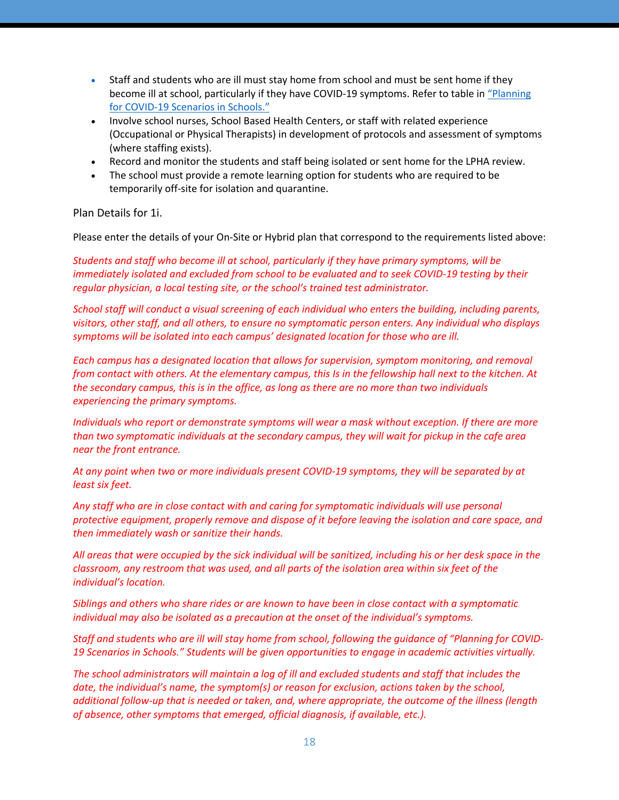- Staff and students who are ill must stay home from school and must be sent home if they become ill at school, particularly if they have COVID-19 symptoms. Refer to table in "Planning for COVID-19 Scenarios in Schools."
- Involve school nurses, School Based Health Centers, or staff with related experience (Occupational or Physical Therapists) in development of protocols and assessment of symptoms (where staffing exists).
- Record and monitor the students and staff being isolated or sent home for the LPHA review.
- The school must provide a remote learning option for students who are required to be temporarily off-site for isolation and quarantine.

## Plan Details for 1i.

Please enter the details of your On-Site or Hybrid plan that correspond to the requirements listed above:

*Students and staff who become ill at school, particularly if they have primary symptoms, will be immediately isolated and excluded from school to be evaluated and to seek COVID-19 testing by their regular physician, a local testing site, or the school's trained test administrator.*

*School staff will conduct a visual screening of each individual who enters the building, including parents, visitors, other staff, and all others, to ensure no symptomatic person enters. Any individual who displays symptoms will be isolated into each campus' designated location for those who are ill.*

*Each campus has a designated location that allows for supervision, symptom monitoring, and removal from contact with others. At the elementary campus, this Is in the fellowship hall next to the kitchen. At the secondary campus, this is in the office, as long as there are no more than two individuals experiencing the primary symptoms.*

*Individuals who report or demonstrate symptoms will wear a mask without exception. If there are more than two symptomatic individuals at the secondary campus, they will wait for pickup in the cafe area near the front entrance.*

*At any point when two or more individuals present COVID-19 symptoms, they will be separated by at least six feet.*

*Any staff who are in close contact with and caring for symptomatic individuals will use personal protective equipment, properly remove and dispose of it before leaving the isolation and care space, and then immediately wash or sanitize their hands.*

*All areas that were occupied by the sick individual will be sanitized, including his or her desk space in the classroom, any restroom that was used, and all parts of the isolation area within six feet of the individual's location.*

*Siblings and others who share rides or are known to have been in close contact with a symptomatic individual may also be isolated as a precaution at the onset of the individual's symptoms.*

*Staff and students who are ill will stay home from school, following the guidance of "Planning for COVID-19 Scenarios in Schools." Students will be given opportunities to engage in academic activities virtually.*

*The school administrators will maintain a log of ill and excluded students and staff that includes the date, the individual's name, the symptom(s) or reason for exclusion, actions taken by the school, additional follow-up that is needed or taken, and, where appropriate, the outcome of the illness (length of absence, other symptoms that emerged, official diagnosis, if available, etc.).*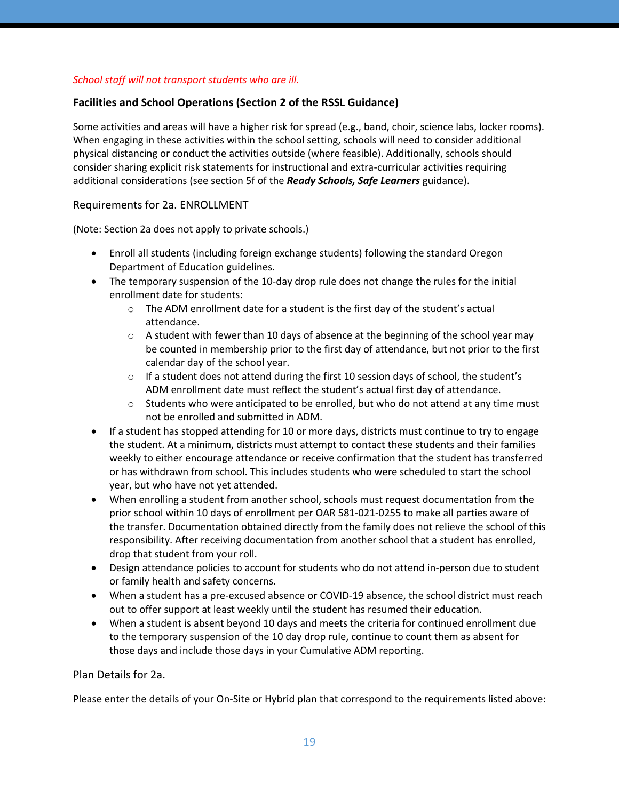## *School staff will not transport students who are ill.*

# **Facilities and School Operations (Section 2 of the RSSL Guidance)**

Some activities and areas will have a higher risk for spread (e.g., band, choir, science labs, locker rooms). When engaging in these activities within the school setting, schools will need to consider additional physical distancing or conduct the activities outside (where feasible). Additionally, schools should consider sharing explicit risk statements for instructional and extra-curricular activities requiring additional considerations (see section 5f of the *Ready Schools, Safe Learners* guidance).

## Requirements for 2a. ENROLLMENT

(Note: Section 2a does not apply to private schools.)

- Enroll all students (including foreign exchange students) following the standard Oregon Department of Education guidelines.
- The temporary suspension of the 10-day drop rule does not change the rules for the initial enrollment date for students:
	- $\circ$  The ADM enrollment date for a student is the first day of the student's actual attendance.
	- $\circ$  A student with fewer than 10 days of absence at the beginning of the school year may be counted in membership prior to the first day of attendance, but not prior to the first calendar day of the school year.
	- $\circ$  If a student does not attend during the first 10 session days of school, the student's ADM enrollment date must reflect the student's actual first day of attendance.
	- $\circ$  Students who were anticipated to be enrolled, but who do not attend at any time must not be enrolled and submitted in ADM.
- If a student has stopped attending for 10 or more days, districts must continue to try to engage the student. At a minimum, districts must attempt to contact these students and their families weekly to either encourage attendance or receive confirmation that the student has transferred or has withdrawn from school. This includes students who were scheduled to start the school year, but who have not yet attended.
- When enrolling a student from another school, schools must request documentation from the prior school within 10 days of enrollment per OAR 581-021-0255 to make all parties aware of the transfer. Documentation obtained directly from the family does not relieve the school of this responsibility. After receiving documentation from another school that a student has enrolled, drop that student from your roll.
- Design attendance policies to account for students who do not attend in-person due to student or family health and safety concerns.
- When a student has a pre-excused absence or COVID-19 absence, the school district must reach out to offer support at least weekly until the student has resumed their education.
- When a student is absent beyond 10 days and meets the criteria for continued enrollment due to the temporary suspension of the 10 day drop rule, continue to count them as absent for those days and include those days in your Cumulative ADM reporting.

# Plan Details for 2a.

Please enter the details of your On-Site or Hybrid plan that correspond to the requirements listed above: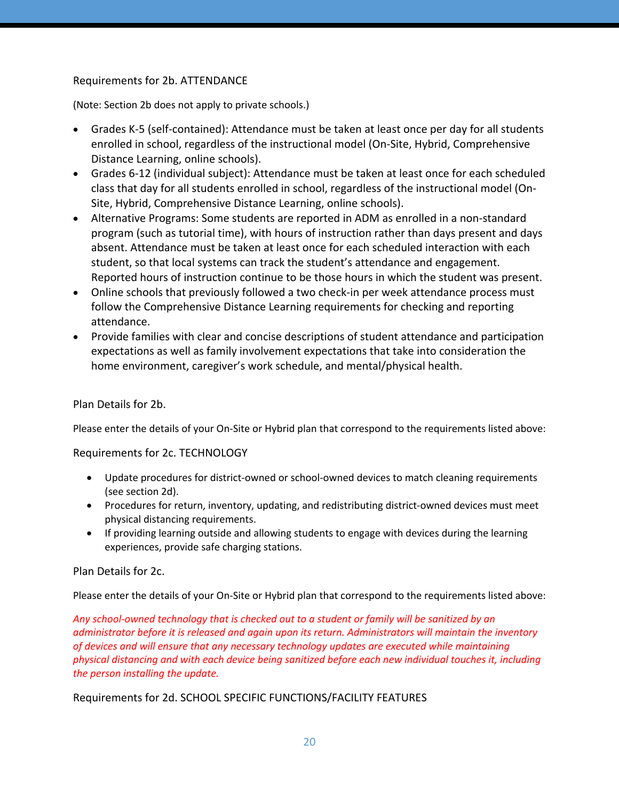# Requirements for 2b. ATTENDANCE

(Note: Section 2b does not apply to private schools.)

- Grades K-5 (self-contained): Attendance must be taken at least once per day for all students enrolled in school, regardless of the instructional model (On-Site, Hybrid, Comprehensive Distance Learning, online schools).
- Grades 6-12 (individual subject): Attendance must be taken at least once for each scheduled class that day for all students enrolled in school, regardless of the instructional model (On-Site, Hybrid, Comprehensive Distance Learning, online schools).
- Alternative Programs: Some students are reported in ADM as enrolled in a non-standard program (such as tutorial time), with hours of instruction rather than days present and days absent. Attendance must be taken at least once for each scheduled interaction with each student, so that local systems can track the student's attendance and engagement. Reported hours of instruction continue to be those hours in which the student was present.
- Online schools that previously followed a two check-in per week attendance process must follow the Comprehensive Distance Learning requirements for checking and reporting attendance.
- Provide families with clear and concise descriptions of student attendance and participation expectations as well as family involvement expectations that take into consideration the home environment, caregiver's work schedule, and mental/physical health.

# Plan Details for 2b.

Please enter the details of your On-Site or Hybrid plan that correspond to the requirements listed above:

# Requirements for 2c. TECHNOLOGY

- Update procedures for district-owned or school-owned devices to match cleaning requirements (see section 2d).
- Procedures for return, inventory, updating, and redistributing district-owned devices must meet physical distancing requirements.
- If providing learning outside and allowing students to engage with devices during the learning experiences, provide safe charging stations.

### Plan Details for 2c.

Please enter the details of your On-Site or Hybrid plan that correspond to the requirements listed above:

*Any school-owned technology that is checked out to a student or family will be sanitized by an administrator before it is released and again upon its return. Administrators will maintain the inventory of devices and will ensure that any necessary technology updates are executed while maintaining physical distancing and with each device being sanitized before each new individual touches it, including the person installing the update.*

# Requirements for 2d. SCHOOL SPECIFIC FUNCTIONS/FACILITY FEATURES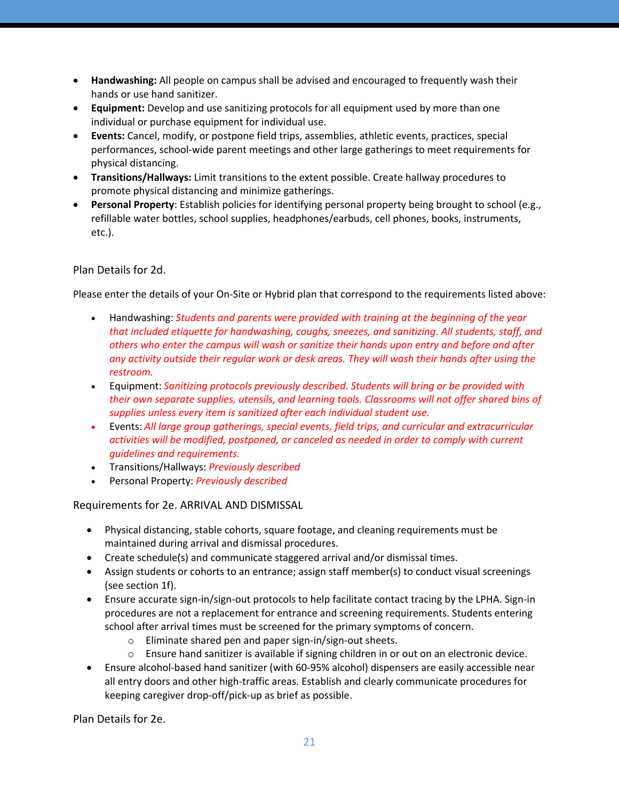- **Handwashing:** All people on campus shall be advised and encouraged to frequently wash their hands or use hand sanitizer.
- **Equipment:** Develop and use sanitizing protocols for all equipment used by more than one individual or purchase equipment for individual use.
- **Events:** Cancel, modify, or postpone field trips, assemblies, athletic events, practices, special performances, school-wide parent meetings and other large gatherings to meet requirements for physical distancing.
- **Transitions/Hallways:** Limit transitions to the extent possible. Create hallway procedures to promote physical distancing and minimize gatherings.
- **Personal Property**: Establish policies for identifying personal property being brought to school (e.g., refillable water bottles, school supplies, headphones/earbuds, cell phones, books, instruments, etc.).

# Plan Details for 2d.

Please enter the details of your On-Site or Hybrid plan that correspond to the requirements listed above:

- Handwashing: *Students and parents were provided with training at the beginning of the year that included etiquette for handwashing, coughs, sneezes, and sanitizing. All students, staff, and others who enter the campus will wash or sanitize their hands upon entry and before and after any activity outside their regular work or desk areas. They will wash their hands after using the restroom.*
- Equipment: *Sanitizing protocols previously described. Students will bring or be provided with their own separate supplies, utensils, and learning tools. Classrooms will not offer shared bins of supplies unless every item is sanitized after each individual student use.*
- Events: *All large group gatherings, special events, field trips, and curricular and extracurricular activities will be modified, postponed, or canceled as needed in order to comply with current guidelines and requirements.*
- Transitions/Hallways: *Previously described*
- Personal Property: *Previously described*

# Requirements for 2e. ARRIVAL AND DISMISSAL

- Physical distancing, stable cohorts, square footage, and cleaning requirements must be maintained during arrival and dismissal procedures.
- Create schedule(s) and communicate staggered arrival and/or dismissal times.
- Assign students or cohorts to an entrance; assign staff member(s) to conduct visual screenings (see section 1f).
- Ensure accurate sign-in/sign-out protocols to help facilitate contact tracing by the LPHA. Sign-in procedures are not a replacement for entrance and screening requirements. Students entering school after arrival times must be screened for the primary symptoms of concern.
	- o Eliminate shared pen and paper sign-in/sign-out sheets.
	- o Ensure hand sanitizer is available if signing children in or out on an electronic device.
- Ensure alcohol-based hand sanitizer (with 60-95% alcohol) dispensers are easily accessible near all entry doors and other high-traffic areas. Establish and clearly communicate procedures for keeping caregiver drop-off/pick-up as brief as possible.

Plan Details for 2e.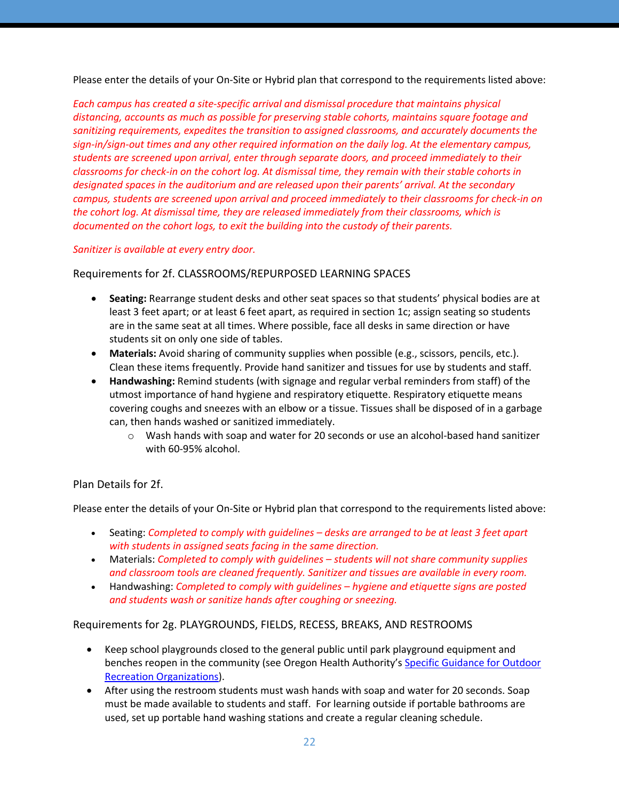Please enter the details of your On-Site or Hybrid plan that correspond to the requirements listed above:

*Each campus has created a site-specific arrival and dismissal procedure that maintains physical distancing, accounts as much as possible for preserving stable cohorts, maintains square footage and sanitizing requirements, expedites the transition to assigned classrooms, and accurately documents the sign-in/sign-out times and any other required information on the daily log. At the elementary campus, students are screened upon arrival, enter through separate doors, and proceed immediately to their classrooms for check-in on the cohort log. At dismissal time, they remain with their stable cohorts in designated spaces in the auditorium and are released upon their parents' arrival. At the secondary campus, students are screened upon arrival and proceed immediately to their classrooms for check-in on the cohort log. At dismissal time, they are released immediately from their classrooms, which is documented on the cohort logs, to exit the building into the custody of their parents.*

*Sanitizer is available at every entry door.*

Requirements for 2f. CLASSROOMS/REPURPOSED LEARNING SPACES

- **Seating:** Rearrange student desks and other seat spaces so that students' physical bodies are at least 3 feet apart; or at least 6 feet apart, as required in section 1c; assign seating so students are in the same seat at all times. Where possible, face all desks in same direction or have students sit on only one side of tables.
- **Materials:** Avoid sharing of community supplies when possible (e.g., scissors, pencils, etc.). Clean these items frequently. Provide hand sanitizer and tissues for use by students and staff.
- **Handwashing:** Remind students (with signage and regular verbal reminders from staff) of the utmost importance of hand hygiene and respiratory etiquette. Respiratory etiquette means covering coughs and sneezes with an elbow or a tissue. Tissues shall be disposed of in a garbage can, then hands washed or sanitized immediately.
	- $\circ$  Wash hands with soap and water for 20 seconds or use an alcohol-based hand sanitizer with 60-95% alcohol.

# Plan Details for 2f.

Please enter the details of your On-Site or Hybrid plan that correspond to the requirements listed above:

- Seating: *Completed to comply with guidelines – desks are arranged to be at least 3 feet apart with students in assigned seats facing in the same direction.*
- Materials: *Completed to comply with guidelines – students will not share community supplies and classroom tools are cleaned frequently. Sanitizer and tissues are available in every room.*
- Handwashing: *Completed to comply with guidelines – hygiene and etiquette signs are posted and students wash or sanitize hands after coughing or sneezing.*

Requirements for 2g. PLAYGROUNDS, FIELDS, RECESS, BREAKS, AND RESTROOMS

- Keep school playgrounds closed to the general public until park playground equipment and benches reopen in the community (see Oregon Health Authority's Specific Guidance for Outdoor Recreation Organizations).
- After using the restroom students must wash hands with soap and water for 20 seconds. Soap must be made available to students and staff. For learning outside if portable bathrooms are used, set up portable hand washing stations and create a regular cleaning schedule.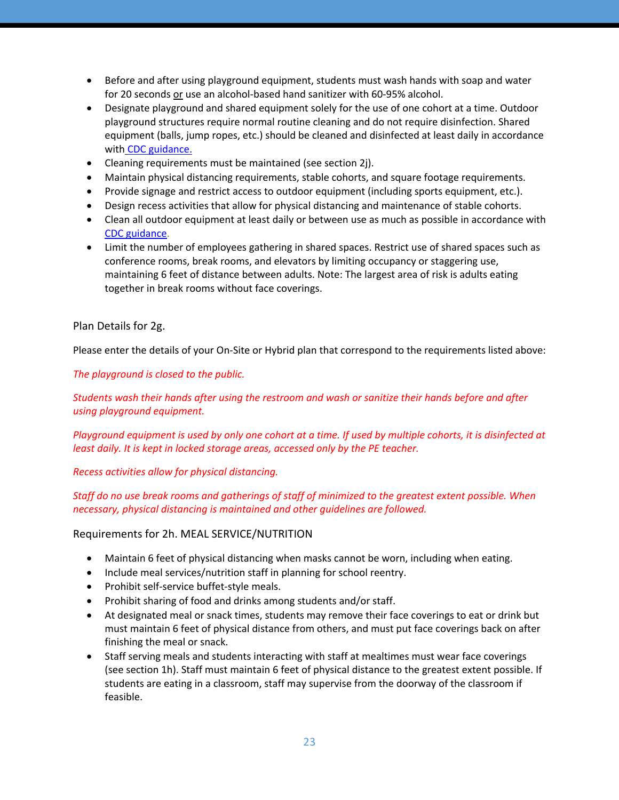- Before and after using playground equipment, students must wash hands with soap and water for 20 seconds or use an alcohol-based hand sanitizer with 60-95% alcohol.
- Designate playground and shared equipment solely for the use of one cohort at a time. Outdoor playground structures require normal routine cleaning and do not require disinfection. Shared equipment (balls, jump ropes, etc.) should be cleaned and disinfected at least daily in accordance with CDC guidance.
- Cleaning requirements must be maintained (see section 2j).
- Maintain physical distancing requirements, stable cohorts, and square footage requirements.
- Provide signage and restrict access to outdoor equipment (including sports equipment, etc.).
- Design recess activities that allow for physical distancing and maintenance of stable cohorts.
- Clean all outdoor equipment at least daily or between use as much as possible in accordance with CDC guidance.
- Limit the number of employees gathering in shared spaces. Restrict use of shared spaces such as conference rooms, break rooms, and elevators by limiting occupancy or staggering use, maintaining 6 feet of distance between adults. Note: The largest area of risk is adults eating together in break rooms without face coverings.

### Plan Details for 2g.

Please enter the details of your On-Site or Hybrid plan that correspond to the requirements listed above:

*The playground is closed to the public.*

*Students wash their hands after using the restroom and wash or sanitize their hands before and after using playground equipment.*

*Playground equipment is used by only one cohort at a time. If used by multiple cohorts, it is disinfected at least daily. It is kept in locked storage areas, accessed only by the PE teacher.*

*Recess activities allow for physical distancing.*

*Staff do no use break rooms and gatherings of staff of minimized to the greatest extent possible. When necessary, physical distancing is maintained and other guidelines are followed.*

Requirements for 2h. MEAL SERVICE/NUTRITION

- Maintain 6 feet of physical distancing when masks cannot be worn, including when eating.
- Include meal services/nutrition staff in planning for school reentry.
- Prohibit self-service buffet-style meals.
- Prohibit sharing of food and drinks among students and/or staff.
- At designated meal or snack times, students may remove their face coverings to eat or drink but must maintain 6 feet of physical distance from others, and must put face coverings back on after finishing the meal or snack.
- Staff serving meals and students interacting with staff at mealtimes must wear face coverings (see section 1h). Staff must maintain 6 feet of physical distance to the greatest extent possible. If students are eating in a classroom, staff may supervise from the doorway of the classroom if feasible.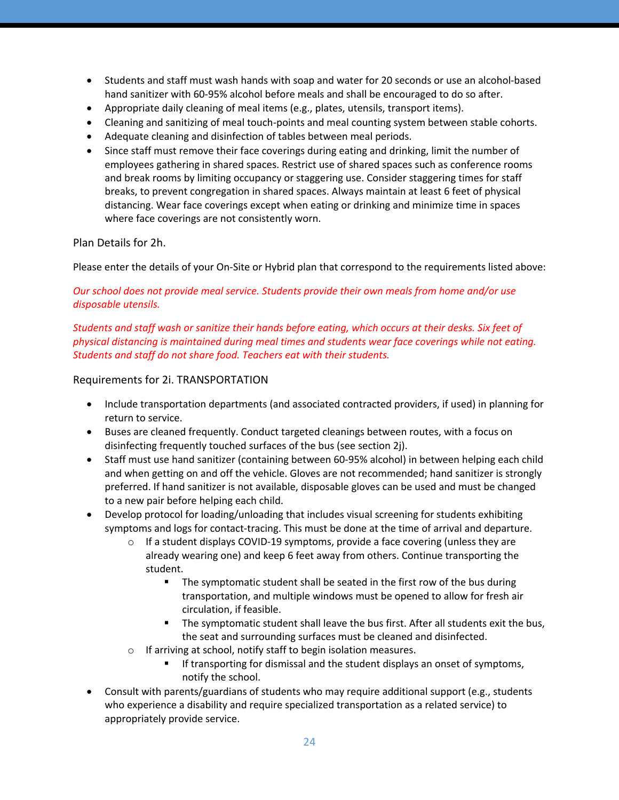- Students and staff must wash hands with soap and water for 20 seconds or use an alcohol-based hand sanitizer with 60-95% alcohol before meals and shall be encouraged to do so after.
- Appropriate daily cleaning of meal items (e.g., plates, utensils, transport items).
- Cleaning and sanitizing of meal touch-points and meal counting system between stable cohorts.
- Adequate cleaning and disinfection of tables between meal periods.
- Since staff must remove their face coverings during eating and drinking, limit the number of employees gathering in shared spaces. Restrict use of shared spaces such as conference rooms and break rooms by limiting occupancy or staggering use. Consider staggering times for staff breaks, to prevent congregation in shared spaces. Always maintain at least 6 feet of physical distancing. Wear face coverings except when eating or drinking and minimize time in spaces where face coverings are not consistently worn.

## Plan Details for 2h.

Please enter the details of your On-Site or Hybrid plan that correspond to the requirements listed above:

## *Our school does not provide meal service. Students provide their own meals from home and/or use disposable utensils.*

*Students and staff wash or sanitize their hands before eating, which occurs at their desks. Six feet of physical distancing is maintained during meal times and students wear face coverings while not eating. Students and staff do not share food. Teachers eat with their students.*

## Requirements for 2i. TRANSPORTATION

- Include transportation departments (and associated contracted providers, if used) in planning for return to service.
- Buses are cleaned frequently. Conduct targeted cleanings between routes, with a focus on disinfecting frequently touched surfaces of the bus (see section 2j).
- Staff must use hand sanitizer (containing between 60-95% alcohol) in between helping each child and when getting on and off the vehicle. Gloves are not recommended; hand sanitizer is strongly preferred. If hand sanitizer is not available, disposable gloves can be used and must be changed to a new pair before helping each child.
- Develop protocol for loading/unloading that includes visual screening for students exhibiting symptoms and logs for contact-tracing. This must be done at the time of arrival and departure.
	- $\circ$  If a student displays COVID-19 symptoms, provide a face covering (unless they are already wearing one) and keep 6 feet away from others. Continue transporting the student.
		- The symptomatic student shall be seated in the first row of the bus during transportation, and multiple windows must be opened to allow for fresh air circulation, if feasible.
		- The symptomatic student shall leave the bus first. After all students exit the bus, the seat and surrounding surfaces must be cleaned and disinfected.
	- o If arriving at school, notify staff to begin isolation measures.
		- If transporting for dismissal and the student displays an onset of symptoms, notify the school.
- Consult with parents/guardians of students who may require additional support (e.g., students who experience a disability and require specialized transportation as a related service) to appropriately provide service.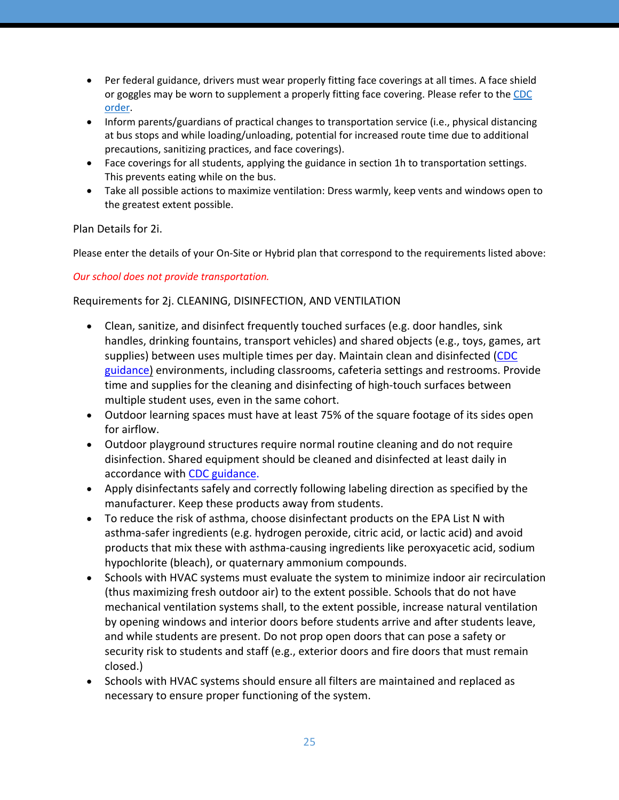- Per federal guidance, drivers must wear properly fitting face coverings at all times. A face shield or goggles may be worn to supplement a properly fitting face covering. Please refer to the CDC order.
- Inform parents/guardians of practical changes to transportation service (i.e., physical distancing at bus stops and while loading/unloading, potential for increased route time due to additional precautions, sanitizing practices, and face coverings).
- Face coverings for all students, applying the guidance in section 1h to transportation settings. This prevents eating while on the bus.
- Take all possible actions to maximize ventilation: Dress warmly, keep vents and windows open to the greatest extent possible.

Plan Details for 2i.

Please enter the details of your On-Site or Hybrid plan that correspond to the requirements listed above:

*Our school does not provide transportation.*

# Requirements for 2j. CLEANING, DISINFECTION, AND VENTILATION

- Clean, sanitize, and disinfect frequently touched surfaces (e.g. door handles, sink handles, drinking fountains, transport vehicles) and shared objects (e.g., toys, games, art supplies) between uses multiple times per day. Maintain clean and disinfected (CDC guidance) environments, including classrooms, cafeteria settings and restrooms. Provide time and supplies for the cleaning and disinfecting of high-touch surfaces between multiple student uses, even in the same cohort.
- Outdoor learning spaces must have at least 75% of the square footage of its sides open for airflow.
- Outdoor playground structures require normal routine cleaning and do not require disinfection. Shared equipment should be cleaned and disinfected at least daily in accordance with CDC guidance.
- Apply disinfectants safely and correctly following labeling direction as specified by the manufacturer. Keep these products away from students.
- To reduce the risk of asthma, choose disinfectant products on the EPA List N with asthma-safer ingredients (e.g. hydrogen peroxide, citric acid, or lactic acid) and avoid products that mix these with asthma-causing ingredients like peroxyacetic acid, sodium hypochlorite (bleach), or quaternary ammonium compounds.
- Schools with HVAC systems must evaluate the system to minimize indoor air recirculation (thus maximizing fresh outdoor air) to the extent possible. Schools that do not have mechanical ventilation systems shall, to the extent possible, increase natural ventilation by opening windows and interior doors before students arrive and after students leave, and while students are present. Do not prop open doors that can pose a safety or security risk to students and staff (e.g., exterior doors and fire doors that must remain closed.)
- Schools with HVAC systems should ensure all filters are maintained and replaced as necessary to ensure proper functioning of the system.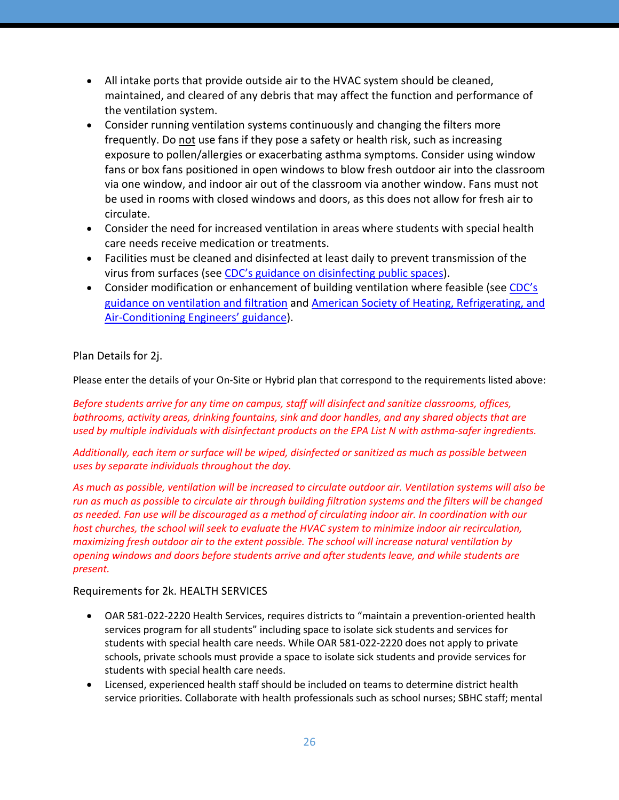- All intake ports that provide outside air to the HVAC system should be cleaned, maintained, and cleared of any debris that may affect the function and performance of the ventilation system.
- Consider running ventilation systems continuously and changing the filters more frequently. Do not use fans if they pose a safety or health risk, such as increasing exposure to pollen/allergies or exacerbating asthma symptoms. Consider using window fans or box fans positioned in open windows to blow fresh outdoor air into the classroom via one window, and indoor air out of the classroom via another window. Fans must not be used in rooms with closed windows and doors, as this does not allow for fresh air to circulate.
- Consider the need for increased ventilation in areas where students with special health care needs receive medication or treatments.
- Facilities must be cleaned and disinfected at least daily to prevent transmission of the virus from surfaces (see CDC's guidance on disinfecting public spaces).
- Consider modification or enhancement of building ventilation where feasible (see CDC's guidance on ventilation and filtration and American Society of Heating, Refrigerating, and Air-Conditioning Engineers' guidance).

# Plan Details for 2j.

Please enter the details of your On-Site or Hybrid plan that correspond to the requirements listed above:

*Before students arrive for any time on campus, staff will disinfect and sanitize classrooms, offices, bathrooms, activity areas, drinking fountains, sink and door handles, and any shared objects that are used by multiple individuals with disinfectant products on the EPA List N with asthma-safer ingredients.*

*Additionally, each item or surface will be wiped, disinfected or sanitized as much as possible between uses by separate individuals throughout the day.*

*As much as possible, ventilation will be increased to circulate outdoor air. Ventilation systems will also be run as much as possible to circulate air through building filtration systems and the filters will be changed as needed. Fan use will be discouraged as a method of circulating indoor air. In coordination with our host churches, the school will seek to evaluate the HVAC system to minimize indoor air recirculation, maximizing fresh outdoor air to the extent possible. The school will increase natural ventilation by opening windows and doors before students arrive and after students leave, and while students are present.*

# Requirements for 2k. HEALTH SERVICES

- OAR 581-022-2220 Health Services, requires districts to "maintain a prevention-oriented health services program for all students" including space to isolate sick students and services for students with special health care needs. While OAR 581-022-2220 does not apply to private schools, private schools must provide a space to isolate sick students and provide services for students with special health care needs.
- Licensed, experienced health staff should be included on teams to determine district health service priorities. Collaborate with health professionals such as school nurses; SBHC staff; mental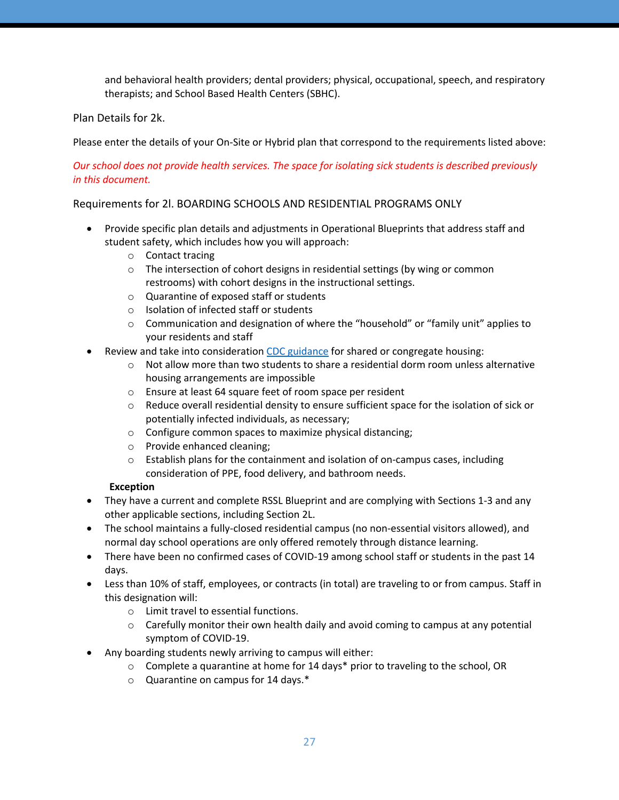and behavioral health providers; dental providers; physical, occupational, speech, and respiratory therapists; and School Based Health Centers (SBHC).

# Plan Details for 2k.

Please enter the details of your On-Site or Hybrid plan that correspond to the requirements listed above:

# *Our school does not provide health services. The space for isolating sick students is described previously in this document.*

# Requirements for 2l. BOARDING SCHOOLS AND RESIDENTIAL PROGRAMS ONLY

- Provide specific plan details and adjustments in Operational Blueprints that address staff and student safety, which includes how you will approach:
	- o Contact tracing
	- $\circ$  The intersection of cohort designs in residential settings (by wing or common restrooms) with cohort designs in the instructional settings.
	- o Quarantine of exposed staff or students
	- o Isolation of infected staff or students
	- o Communication and designation of where the "household" or "family unit" applies to your residents and staff
- Review and take into consideration CDC guidance for shared or congregate housing:
	- $\circ$  Not allow more than two students to share a residential dorm room unless alternative housing arrangements are impossible
	- o Ensure at least 64 square feet of room space per resident
	- $\circ$  Reduce overall residential density to ensure sufficient space for the isolation of sick or potentially infected individuals, as necessary;
	- o Configure common spaces to maximize physical distancing;
	- o Provide enhanced cleaning;
	- o Establish plans for the containment and isolation of on-campus cases, including consideration of PPE, food delivery, and bathroom needs.

# **Exception**

- They have a current and complete RSSL Blueprint and are complying with Sections 1-3 and any other applicable sections, including Section 2L.
- The school maintains a fully-closed residential campus (no non-essential visitors allowed), and normal day school operations are only offered remotely through distance learning.
- There have been no confirmed cases of COVID-19 among school staff or students in the past 14 days.
- Less than 10% of staff, employees, or contracts (in total) are traveling to or from campus. Staff in this designation will:
	- o Limit travel to essential functions.
	- $\circ$  Carefully monitor their own health daily and avoid coming to campus at any potential symptom of COVID-19.
- Any boarding students newly arriving to campus will either:
	- $\circ$  Complete a quarantine at home for 14 days\* prior to traveling to the school, OR
	- o Quarantine on campus for 14 days.\*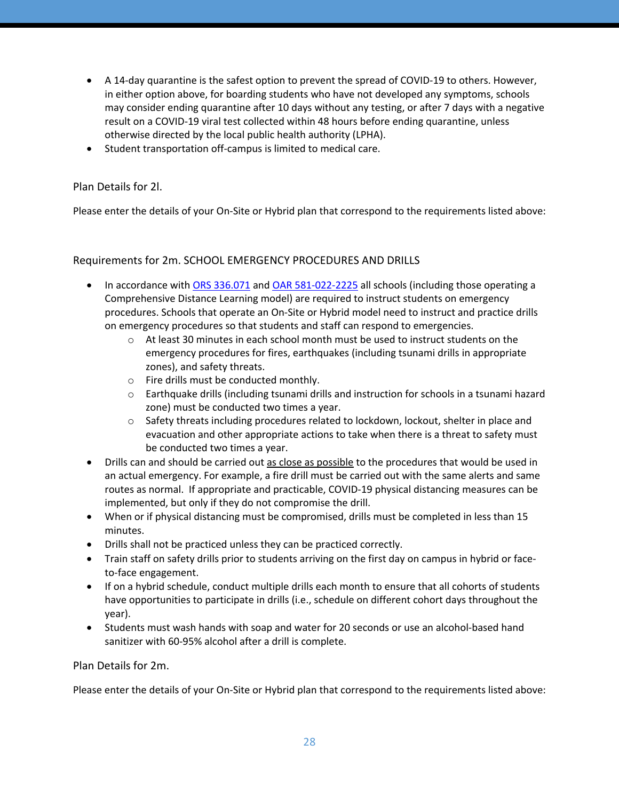- A 14-day quarantine is the safest option to prevent the spread of COVID-19 to others. However, in either option above, for boarding students who have not developed any symptoms, schools may consider ending quarantine after 10 days without any testing, or after 7 days with a negative result on a COVID-19 viral test collected within 48 hours before ending quarantine, unless otherwise directed by the local public health authority (LPHA).
- Student transportation off-campus is limited to medical care.

## Plan Details for 2l.

Please enter the details of your On-Site or Hybrid plan that correspond to the requirements listed above:

## Requirements for 2m. SCHOOL EMERGENCY PROCEDURES AND DRILLS

- In accordance with ORS 336.071 and OAR 581-022-2225 all schools (including those operating a Comprehensive Distance Learning model) are required to instruct students on emergency procedures. Schools that operate an On-Site or Hybrid model need to instruct and practice drills on emergency procedures so that students and staff can respond to emergencies.
	- $\circ$  At least 30 minutes in each school month must be used to instruct students on the emergency procedures for fires, earthquakes (including tsunami drills in appropriate zones), and safety threats.
	- o Fire drills must be conducted monthly.
	- o Earthquake drills (including tsunami drills and instruction for schools in a tsunami hazard zone) must be conducted two times a year.
	- $\circ$  Safety threats including procedures related to lockdown, lockout, shelter in place and evacuation and other appropriate actions to take when there is a threat to safety must be conducted two times a year.
- Drills can and should be carried out as close as possible to the procedures that would be used in an actual emergency. For example, a fire drill must be carried out with the same alerts and same routes as normal. If appropriate and practicable, COVID-19 physical distancing measures can be implemented, but only if they do not compromise the drill.
- When or if physical distancing must be compromised, drills must be completed in less than 15 minutes.
- Drills shall not be practiced unless they can be practiced correctly.
- Train staff on safety drills prior to students arriving on the first day on campus in hybrid or faceto-face engagement.
- If on a hybrid schedule, conduct multiple drills each month to ensure that all cohorts of students have opportunities to participate in drills (i.e., schedule on different cohort days throughout the year).
- Students must wash hands with soap and water for 20 seconds or use an alcohol-based hand sanitizer with 60-95% alcohol after a drill is complete.

### Plan Details for 2m.

Please enter the details of your On-Site or Hybrid plan that correspond to the requirements listed above: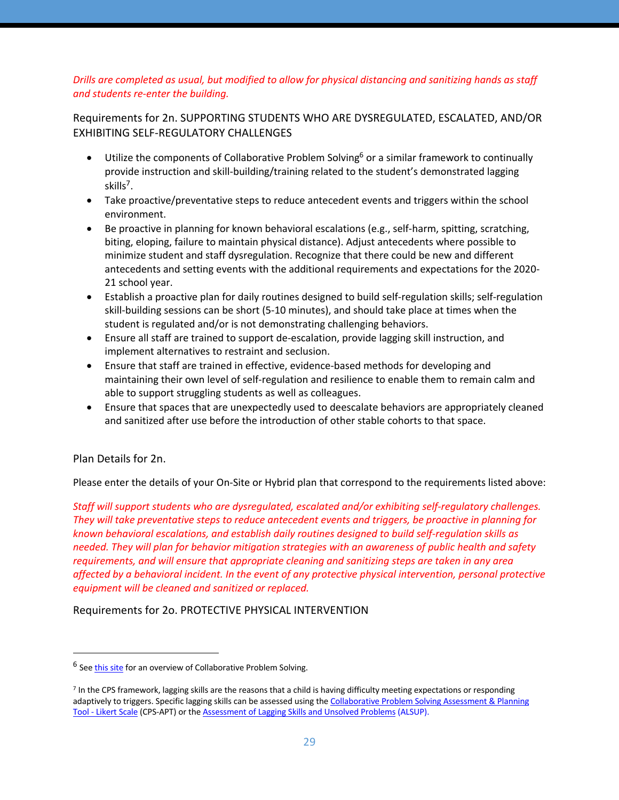# *Drills are completed as usual, but modified to allow for physical distancing and sanitizing hands as staff and students re-enter the building.*

Requirements for 2n. SUPPORTING STUDENTS WHO ARE DYSREGULATED, ESCALATED, AND/OR EXHIBITING SELF-REGULATORY CHALLENGES

- Utilize the components of Collaborative Problem Solving<sup>6</sup> or a similar framework to continually provide instruction and skill-building/training related to the student's demonstrated lagging skills<sup>7</sup>.
- Take proactive/preventative steps to reduce antecedent events and triggers within the school environment.
- Be proactive in planning for known behavioral escalations (e.g., self-harm, spitting, scratching, biting, eloping, failure to maintain physical distance). Adjust antecedents where possible to minimize student and staff dysregulation. Recognize that there could be new and different antecedents and setting events with the additional requirements and expectations for the 2020- 21 school year.
- Establish a proactive plan for daily routines designed to build self-regulation skills; self-regulation skill-building sessions can be short (5-10 minutes), and should take place at times when the student is regulated and/or is not demonstrating challenging behaviors.
- Ensure all staff are trained to support de-escalation, provide lagging skill instruction, and implement alternatives to restraint and seclusion.
- Ensure that staff are trained in effective, evidence-based methods for developing and maintaining their own level of self-regulation and resilience to enable them to remain calm and able to support struggling students as well as colleagues.
- Ensure that spaces that are unexpectedly used to deescalate behaviors are appropriately cleaned and sanitized after use before the introduction of other stable cohorts to that space.

Plan Details for 2n.

Please enter the details of your On-Site or Hybrid plan that correspond to the requirements listed above:

*Staff will support students who are dysregulated, escalated and/or exhibiting self-regulatory challenges. They will take preventative steps to reduce antecedent events and triggers, be proactive in planning for known behavioral escalations, and establish daily routines designed to build self-regulation skills as needed. They will plan for behavior mitigation strategies with an awareness of public health and safety requirements, and will ensure that appropriate cleaning and sanitizing steps are taken in any area affected by a behavioral incident. In the event of any protective physical intervention, personal protective equipment will be cleaned and sanitized or replaced.*

Requirements for 2o. PROTECTIVE PHYSICAL INTERVENTION

<sup>6</sup> See this site for an overview of Collaborative Problem Solving.

<sup>7</sup> In the CPS framework, lagging skills are the reasons that a child is having difficulty meeting expectations or responding adaptively to triggers. Specific lagging skills can be assessed using the Collaborative Problem Solving Assessment & Planning Tool - Likert Scale (CPS-APT) or the Assessment of Lagging Skills and Unsolved Problems (ALSUP).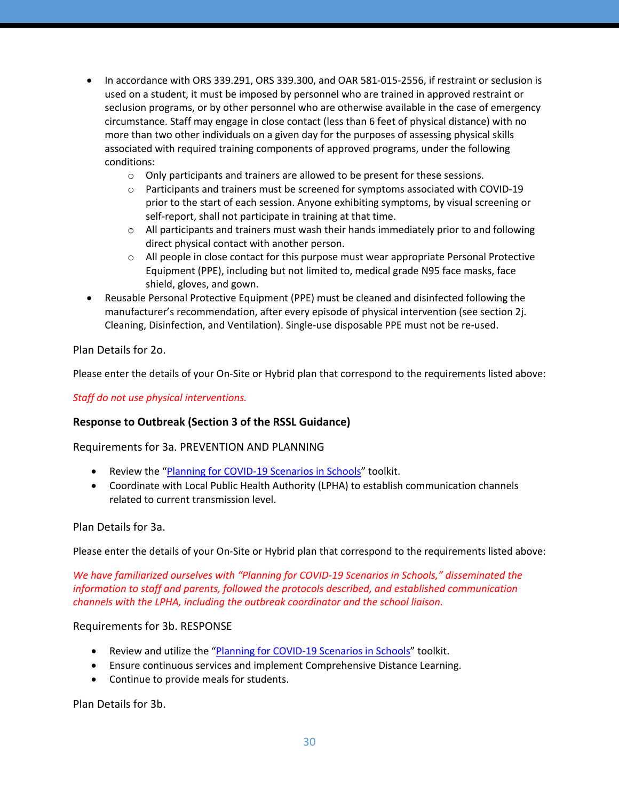- In accordance with ORS 339.291, ORS 339.300, and OAR 581-015-2556, if restraint or seclusion is used on a student, it must be imposed by personnel who are trained in approved restraint or seclusion programs, or by other personnel who are otherwise available in the case of emergency circumstance. Staff may engage in close contact (less than 6 feet of physical distance) with no more than two other individuals on a given day for the purposes of assessing physical skills associated with required training components of approved programs, under the following conditions:
	- $\circ$  Only participants and trainers are allowed to be present for these sessions.
	- $\circ$  Participants and trainers must be screened for symptoms associated with COVID-19 prior to the start of each session. Anyone exhibiting symptoms, by visual screening or self-report, shall not participate in training at that time.
	- $\circ$  All participants and trainers must wash their hands immediately prior to and following direct physical contact with another person.
	- $\circ$  All people in close contact for this purpose must wear appropriate Personal Protective Equipment (PPE), including but not limited to, medical grade N95 face masks, face shield, gloves, and gown.
- Reusable Personal Protective Equipment (PPE) must be cleaned and disinfected following the manufacturer's recommendation, after every episode of physical intervention (see section 2j. Cleaning, Disinfection, and Ventilation). Single-use disposable PPE must not be re-used.

Plan Details for 2o.

Please enter the details of your On-Site or Hybrid plan that correspond to the requirements listed above:

*Staff do not use physical interventions.*

### **Response to Outbreak (Section 3 of the RSSL Guidance)**

### Requirements for 3a. PREVENTION AND PLANNING

- Review the "Planning for COVID-19 Scenarios in Schools" toolkit.
- Coordinate with Local Public Health Authority (LPHA) to establish communication channels related to current transmission level.

### Plan Details for 3a.

Please enter the details of your On-Site or Hybrid plan that correspond to the requirements listed above:

*We have familiarized ourselves with "Planning for COVID-19 Scenarios in Schools," disseminated the information to staff and parents, followed the protocols described, and established communication channels with the LPHA, including the outbreak coordinator and the school liaison.*

#### Requirements for 3b. RESPONSE

- Review and utilize the "Planning for COVID-19 Scenarios in Schools" toolkit.
- Ensure continuous services and implement Comprehensive Distance Learning.
- Continue to provide meals for students.

Plan Details for 3b.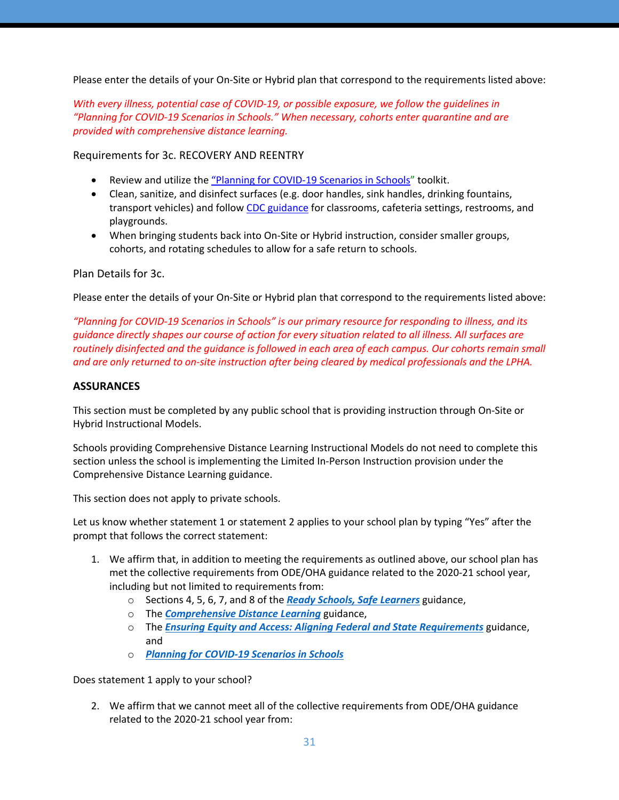Please enter the details of your On-Site or Hybrid plan that correspond to the requirements listed above:

*With every illness, potential case of COVID-19, or possible exposure, we follow the guidelines in "Planning for COVID-19 Scenarios in Schools." When necessary, cohorts enter quarantine and are provided with comprehensive distance learning.*

Requirements for 3c. RECOVERY AND REENTRY

- Review and utilize the "Planning for COVID-19 Scenarios in Schools" toolkit.
- Clean, sanitize, and disinfect surfaces (e.g. door handles, sink handles, drinking fountains, transport vehicles) and follow CDC guidance for classrooms, cafeteria settings, restrooms, and playgrounds.
- When bringing students back into On-Site or Hybrid instruction, consider smaller groups, cohorts, and rotating schedules to allow for a safe return to schools.

## Plan Details for 3c.

Please enter the details of your On-Site or Hybrid plan that correspond to the requirements listed above:

*"Planning for COVID-19 Scenarios in Schools" is our primary resource for responding to illness, and its guidance directly shapes our course of action for every situation related to all illness. All surfaces are routinely disinfected and the guidance is followed in each area of each campus. Our cohorts remain small and are only returned to on-site instruction after being cleared by medical professionals and the LPHA.*

## **ASSURANCES**

This section must be completed by any public school that is providing instruction through On-Site or Hybrid Instructional Models.

Schools providing Comprehensive Distance Learning Instructional Models do not need to complete this section unless the school is implementing the Limited In-Person Instruction provision under the Comprehensive Distance Learning guidance.

This section does not apply to private schools.

Let us know whether statement 1 or statement 2 applies to your school plan by typing "Yes" after the prompt that follows the correct statement:

- 1. We affirm that, in addition to meeting the requirements as outlined above, our school plan has met the collective requirements from ODE/OHA guidance related to the 2020-21 school year, including but not limited to requirements from:
	- o Sections 4, 5, 6, 7, and 8 of the *Ready Schools, Safe Learners* guidance,
	- o The *Comprehensive Distance Learning* guidance,
	- o The *Ensuring Equity and Access: Aligning Federal and State Requirements* guidance, and
	- o *Planning for COVID-19 Scenarios in Schools*

Does statement 1 apply to your school?

2. We affirm that we cannot meet all of the collective requirements from ODE/OHA guidance related to the 2020-21 school year from: